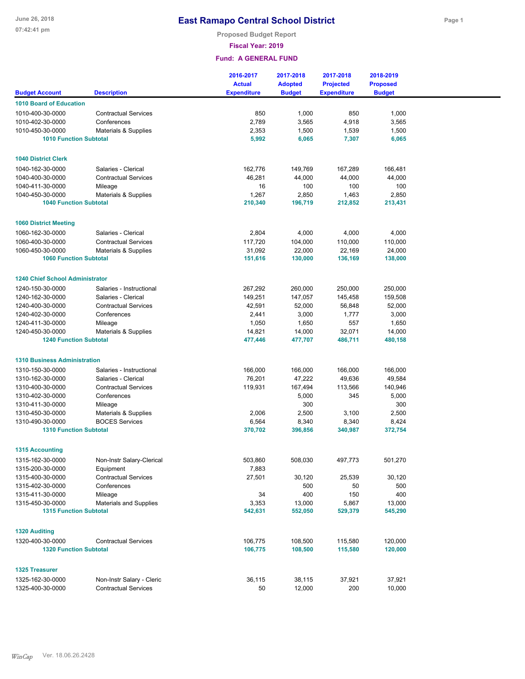**Proposed Budget Report**

**Fiscal Year: 2019**

|                                                   |                                               | 2016-2017<br><b>Actual</b> | 2017-2018<br><b>Adopted</b> | 2017-2018<br><b>Projected</b> | 2018-2019<br><b>Proposed</b> |  |
|---------------------------------------------------|-----------------------------------------------|----------------------------|-----------------------------|-------------------------------|------------------------------|--|
| <b>Budget Account</b>                             | <b>Description</b>                            | <b>Expenditure</b>         | <b>Budget</b>               | <b>Expenditure</b>            | <b>Budget</b>                |  |
| <b>1010 Board of Education</b>                    |                                               |                            |                             |                               |                              |  |
| 1010-400-30-0000                                  | <b>Contractual Services</b>                   | 850                        | 1,000                       | 850                           | 1,000                        |  |
| 1010-402-30-0000                                  | Conferences                                   | 2,789                      | 3,565                       | 4,918                         | 3,565                        |  |
| 1010-450-30-0000                                  | Materials & Supplies                          | 2,353                      | 1,500                       | 1,539                         | 1,500                        |  |
| <b>1010 Function Subtotal</b>                     |                                               | 5,992                      | 6,065                       | 7,307                         | 6,065                        |  |
| <b>1040 District Clerk</b>                        |                                               |                            |                             |                               |                              |  |
|                                                   |                                               |                            |                             |                               |                              |  |
| 1040-162-30-0000                                  | Salaries - Clerical                           | 162,776                    | 149,769                     | 167,289                       | 166,481                      |  |
| 1040-400-30-0000                                  | <b>Contractual Services</b>                   | 46,281                     | 44,000                      | 44,000                        | 44,000                       |  |
| 1040-411-30-0000                                  | Mileage                                       | 16                         | 100                         | 100                           | 100                          |  |
| 1040-450-30-0000<br><b>1040 Function Subtotal</b> | Materials & Supplies                          | 1,267<br>210,340           | 2,850<br>196,719            | 1,463<br>212,852              | 2,850<br>213,431             |  |
|                                                   |                                               |                            |                             |                               |                              |  |
| <b>1060 District Meeting</b>                      |                                               |                            |                             |                               |                              |  |
| 1060-162-30-0000                                  | Salaries - Clerical                           | 2,804                      | 4,000                       | 4,000                         | 4,000                        |  |
| 1060-400-30-0000                                  | <b>Contractual Services</b>                   | 117,720                    | 104,000                     | 110,000                       | 110,000                      |  |
| 1060-450-30-0000                                  | Materials & Supplies                          | 31,092                     | 22,000                      | 22,169                        | 24,000                       |  |
| <b>1060 Function Subtotal</b>                     |                                               | 151,616                    | 130,000                     | 136,169                       | 138,000                      |  |
| <b>1240 Chief School Administrator</b>            |                                               |                            |                             |                               |                              |  |
| 1240-150-30-0000                                  | Salaries - Instructional                      | 267,292                    | 260,000                     | 250,000                       | 250,000                      |  |
| 1240-162-30-0000                                  | Salaries - Clerical                           | 149,251                    | 147,057                     | 145,458                       | 159,508                      |  |
| 1240-400-30-0000                                  | <b>Contractual Services</b>                   | 42,591                     | 52,000                      | 56,848                        | 52,000                       |  |
| 1240-402-30-0000                                  | Conferences                                   | 2,441                      | 3,000                       | 1,777                         | 3,000                        |  |
| 1240-411-30-0000                                  | Mileage                                       | 1,050                      | 1,650                       | 557                           | 1,650                        |  |
| 1240-450-30-0000                                  | Materials & Supplies                          | 14,821                     | 14,000                      | 32,071                        | 14,000                       |  |
| <b>1240 Function Subtotal</b>                     |                                               | 477,446                    | 477,707                     | 486,711                       | 480,158                      |  |
| <b>1310 Business Administration</b>               |                                               |                            |                             |                               |                              |  |
|                                                   |                                               |                            |                             |                               |                              |  |
| 1310-150-30-0000                                  | Salaries - Instructional                      | 166,000                    | 166,000                     | 166,000                       | 166,000                      |  |
| 1310-162-30-0000                                  | Salaries - Clerical                           | 76,201                     | 47,222                      | 49,636                        | 49,584                       |  |
| 1310-400-30-0000                                  | <b>Contractual Services</b>                   | 119,931                    | 167,494                     | 113,566                       | 140,946                      |  |
| 1310-402-30-0000                                  | Conferences                                   |                            | 5,000                       | 345                           | 5,000                        |  |
| 1310-411-30-0000                                  | Mileage                                       |                            | 300                         |                               | 300                          |  |
| 1310-450-30-0000                                  | Materials & Supplies<br><b>BOCES Services</b> | 2,006                      | 2,500                       | 3,100                         | 2,500                        |  |
| 1310-490-30-0000<br><b>1310 Function Subtotal</b> |                                               | 6,564<br>370,702           | 8,340<br>396,856            | 8,340<br>340,987              | 8,424<br>372,754             |  |
|                                                   |                                               |                            |                             |                               |                              |  |
| <b>1315 Accounting</b>                            |                                               |                            |                             |                               |                              |  |
| 1315-162-30-0000                                  | Non-Instr Salary-Clerical                     | 503,860                    | 508,030                     | 497,773                       | 501,270                      |  |
| 1315-200-30-0000                                  | Equipment                                     | 7,883                      |                             |                               |                              |  |
| 1315-400-30-0000                                  | <b>Contractual Services</b>                   | 27,501                     | 30,120                      | 25,539                        | 30,120                       |  |
| 1315-402-30-0000                                  | Conferences                                   |                            | 500                         | 50                            | 500                          |  |
| 1315-411-30-0000                                  | Mileage                                       | 34                         | 400                         | 150                           | 400                          |  |
| 1315-450-30-0000                                  | Materials and Supplies                        | 3,353                      | 13,000                      | 5,867                         | 13,000                       |  |
| <b>1315 Function Subtotal</b>                     |                                               | 542,631                    | 552,050                     | 529,379                       | 545,290                      |  |
| <b>1320 Auditing</b>                              |                                               |                            |                             |                               |                              |  |
| 1320-400-30-0000                                  | <b>Contractual Services</b>                   | 106,775                    | 108,500                     | 115,580                       | 120,000                      |  |
| <b>1320 Function Subtotal</b>                     |                                               | 106,775                    | 108,500                     | 115,580                       | 120,000                      |  |
|                                                   |                                               |                            |                             |                               |                              |  |
| <b>1325 Treasurer</b>                             |                                               |                            |                             |                               |                              |  |
| 1325-162-30-0000                                  | Non-Instr Salary - Cleric                     | 36,115                     | 38,115                      | 37,921                        | 37,921                       |  |
| 1325-400-30-0000                                  | <b>Contractual Services</b>                   | 50                         | 12,000                      | 200                           | 10,000                       |  |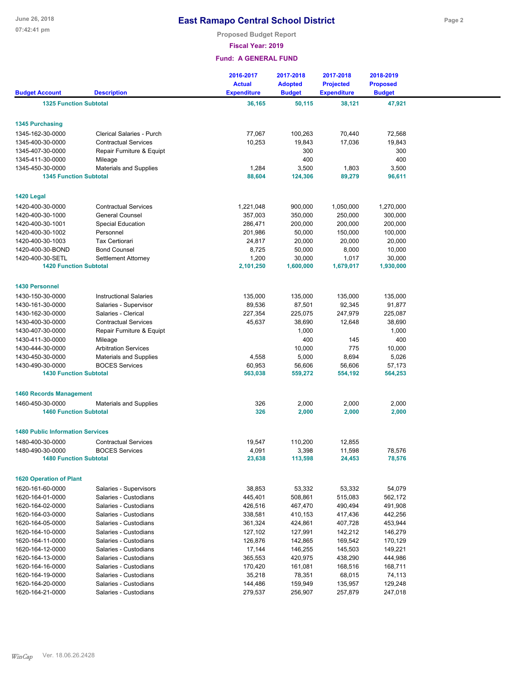**Proposed Budget Report**

**Fiscal Year: 2019**

| <b>Budget Account</b>                             | <b>Description</b>                                   | 2016-2017<br><b>Actual</b><br><b>Expenditure</b> | 2017-2018<br><b>Adopted</b><br><b>Budget</b> | 2017-2018<br><b>Projected</b><br><b>Expenditure</b> | 2018-2019<br><b>Proposed</b><br><b>Budget</b> |  |
|---------------------------------------------------|------------------------------------------------------|--------------------------------------------------|----------------------------------------------|-----------------------------------------------------|-----------------------------------------------|--|
|                                                   |                                                      |                                                  |                                              |                                                     |                                               |  |
| <b>1325 Function Subtotal</b>                     |                                                      | 36,165                                           | 50,115                                       | 38,121                                              | 47,921                                        |  |
| <b>1345 Purchasing</b>                            |                                                      |                                                  |                                              |                                                     |                                               |  |
| 1345-162-30-0000                                  | Clerical Salaries - Purch                            | 77,067                                           | 100,263                                      | 70,440                                              | 72,568                                        |  |
| 1345-400-30-0000                                  | <b>Contractual Services</b>                          | 10,253                                           | 19,843                                       | 17,036                                              | 19,843                                        |  |
| 1345-407-30-0000                                  | Repair Furniture & Equipt                            |                                                  | 300                                          |                                                     | 300                                           |  |
| 1345-411-30-0000                                  | Mileage                                              |                                                  | 400                                          |                                                     | 400                                           |  |
| 1345-450-30-0000                                  | <b>Materials and Supplies</b>                        | 1,284                                            | 3,500                                        | 1,803                                               | 3,500                                         |  |
| <b>1345 Function Subtotal</b>                     |                                                      | 88,604                                           | 124,306                                      | 89,279                                              | 96,611                                        |  |
|                                                   |                                                      |                                                  |                                              |                                                     |                                               |  |
| 1420 Legal<br>1420-400-30-0000                    | <b>Contractual Services</b>                          | 1,221,048                                        | 900,000                                      | 1,050,000                                           | 1,270,000                                     |  |
| 1420-400-30-1000                                  | <b>General Counsel</b>                               |                                                  | 350,000                                      |                                                     |                                               |  |
|                                                   |                                                      | 357,003                                          |                                              | 250,000                                             | 300,000                                       |  |
| 1420-400-30-1001                                  | <b>Special Education</b>                             | 286,471                                          | 200,000                                      | 200,000                                             | 200,000                                       |  |
| 1420-400-30-1002<br>1420-400-30-1003              | Personnel<br><b>Tax Certiorari</b>                   | 201,986                                          | 50,000<br>20,000                             | 150,000                                             | 100,000<br>20,000                             |  |
|                                                   |                                                      | 24,817                                           |                                              | 20,000                                              |                                               |  |
| 1420-400-30-BOND                                  | <b>Bond Counsel</b>                                  | 8,725                                            | 50,000                                       | 8,000                                               | 10,000                                        |  |
| 1420-400-30-SETL<br><b>1420 Function Subtotal</b> | Settlement Attorney                                  | 1,200<br>2,101,250                               | 30,000<br>1,600,000                          | 1,017                                               | 30,000<br>1,930,000                           |  |
|                                                   |                                                      |                                                  |                                              | 1,679,017                                           |                                               |  |
| <b>1430 Personnel</b>                             |                                                      |                                                  |                                              |                                                     |                                               |  |
| 1430-150-30-0000                                  | <b>Instructional Salaries</b>                        | 135,000                                          | 135,000                                      | 135,000                                             | 135,000                                       |  |
| 1430-161-30-0000                                  | Salaries - Supervisor                                | 89,536                                           | 87,501                                       | 92,345                                              | 91,877                                        |  |
| 1430-162-30-0000                                  | Salaries - Clerical                                  | 227,354                                          | 225,075                                      | 247,979                                             | 225,087                                       |  |
| 1430-400-30-0000                                  | <b>Contractual Services</b>                          | 45,637                                           | 38,690                                       | 12,648                                              | 38,690                                        |  |
| 1430-407-30-0000                                  | Repair Furniture & Equipt                            |                                                  | 1,000                                        |                                                     | 1,000                                         |  |
| 1430-411-30-0000                                  | Mileage                                              |                                                  | 400                                          | 145                                                 | 400                                           |  |
| 1430-444-30-0000                                  | <b>Arbitration Services</b>                          |                                                  | 10,000                                       | 775                                                 | 10,000                                        |  |
| 1430-450-30-0000                                  | <b>Materials and Supplies</b>                        | 4,558                                            | 5,000                                        | 8,694                                               | 5,026                                         |  |
| 1430-490-30-0000                                  | <b>BOCES Services</b>                                | 60,953                                           | 56,606                                       | 56,606                                              | 57,173                                        |  |
| <b>1430 Function Subtotal</b>                     |                                                      | 563,038                                          | 559,272                                      | 554,192                                             | 564,253                                       |  |
| <b>1460 Records Management</b>                    |                                                      |                                                  |                                              |                                                     |                                               |  |
| 1460-450-30-0000                                  | <b>Materials and Supplies</b>                        | 326                                              | 2,000                                        | 2,000                                               | 2,000                                         |  |
| <b>1460 Function Subtotal</b>                     |                                                      | 326                                              | 2,000                                        | 2,000                                               | 2,000                                         |  |
|                                                   |                                                      |                                                  |                                              |                                                     |                                               |  |
| <b>1480 Public Information Services</b>           |                                                      |                                                  |                                              |                                                     |                                               |  |
| 1480-400-30-0000                                  | <b>Contractual Services</b><br><b>BOCES Services</b> | 19,547                                           | 110,200                                      | 12,855<br>11,598                                    | 78,576                                        |  |
| 1480-490-30-0000<br><b>1480 Function Subtotal</b> |                                                      | 4,091<br>23,638                                  | 3,398<br>113,598                             | 24,453                                              | 78,576                                        |  |
|                                                   |                                                      |                                                  |                                              |                                                     |                                               |  |
| <b>1620 Operation of Plant</b>                    |                                                      |                                                  |                                              |                                                     |                                               |  |
| 1620-161-60-0000                                  | Salaries - Supervisors                               | 38,853                                           | 53,332                                       | 53,332                                              | 54,079                                        |  |
| 1620-164-01-0000                                  | Salaries - Custodians                                | 445,401                                          | 508,861                                      | 515,083                                             | 562,172                                       |  |
| 1620-164-02-0000                                  | Salaries - Custodians                                | 426,516                                          | 467,470                                      | 490,494                                             | 491,908                                       |  |
| 1620-164-03-0000                                  | Salaries - Custodians                                | 338,581                                          | 410,153                                      | 417,436                                             | 442,256                                       |  |
| 1620-164-05-0000                                  | Salaries - Custodians                                | 361,324                                          | 424,861                                      | 407,728                                             | 453,944                                       |  |
| 1620-164-10-0000                                  | Salaries - Custodians                                | 127,102                                          | 127,991                                      | 142,212                                             | 146,279                                       |  |
| 1620-164-11-0000                                  | Salaries - Custodians                                | 126,876                                          | 142,865                                      | 169,542                                             | 170,129                                       |  |
| 1620-164-12-0000                                  | Salaries - Custodians                                | 17,144                                           | 146,255                                      | 145,503                                             | 149,221                                       |  |
| 1620-164-13-0000                                  | Salaries - Custodians                                | 365,553                                          | 420,975                                      | 438,290                                             | 444,986                                       |  |
| 1620-164-16-0000                                  | Salaries - Custodians                                | 170,420                                          | 161,081                                      | 168,516                                             | 168,711                                       |  |
| 1620-164-19-0000                                  | Salaries - Custodians                                | 35,218                                           | 78,351                                       | 68,015                                              | 74,113                                        |  |
| 1620-164-20-0000                                  | Salaries - Custodians                                | 144,486                                          | 159,949                                      | 135,957                                             | 129,248                                       |  |
| 1620-164-21-0000                                  | Salaries - Custodians                                | 279,537                                          | 256,907                                      | 257,879                                             | 247,018                                       |  |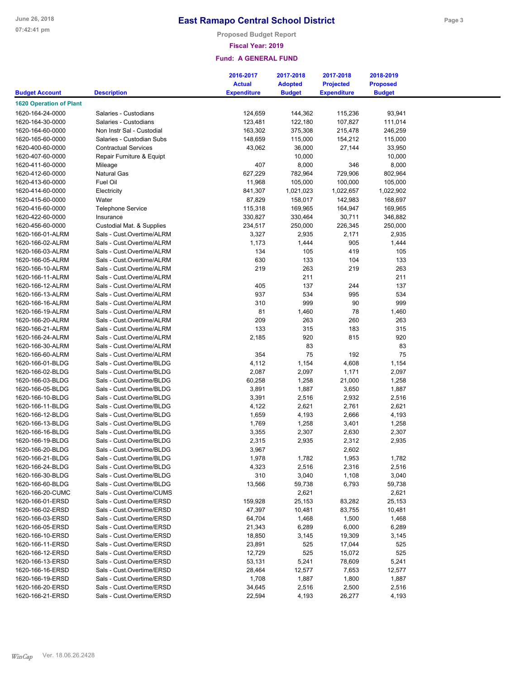**Proposed Budget Report**

#### **Fiscal Year: 2019**

|                                |                             | 2016-2017          | 2017-2018      | 2017-2018          | 2018-2019       |  |
|--------------------------------|-----------------------------|--------------------|----------------|--------------------|-----------------|--|
|                                |                             | <b>Actual</b>      | <b>Adopted</b> | <b>Projected</b>   | <b>Proposed</b> |  |
| <b>Budget Account</b>          | <b>Description</b>          | <b>Expenditure</b> | <b>Budget</b>  | <b>Expenditure</b> | <b>Budget</b>   |  |
| <b>1620 Operation of Plant</b> |                             |                    |                |                    |                 |  |
|                                | Salaries - Custodians       |                    |                |                    |                 |  |
| 1620-164-24-0000               |                             | 124,659            | 144,362        | 115,236            | 93,941          |  |
| 1620-164-30-0000               | Salaries - Custodians       | 123,481            | 122,180        | 107,827            | 111,014         |  |
| 1620-164-60-0000               | Non Instr Sal - Custodial   | 163,302            | 375,308        | 215,478            | 246,259         |  |
| 1620-165-60-0000               | Salaries - Custodian Subs   | 148,659            | 115,000        | 154,212            | 115,000         |  |
| 1620-400-60-0000               | <b>Contractual Services</b> | 43,062             | 36,000         | 27,144             | 33,950          |  |
| 1620-407-60-0000               | Repair Furniture & Equipt   |                    | 10,000         |                    | 10,000          |  |
| 1620-411-60-0000               | Mileage                     | 407                | 8,000          | 346                | 8,000           |  |
| 1620-412-60-0000               | <b>Natural Gas</b>          | 627,229            | 782,964        | 729,906            | 802,964         |  |
| 1620-413-60-0000               | Fuel Oil                    | 11,968             | 105,000        | 100,000            | 105,000         |  |
| 1620-414-60-0000               | Electricity                 | 841,307            | 1,021,023      | 1,022,657          | 1,022,902       |  |
| 1620-415-60-0000               | Water                       | 87,829             | 158,017        | 142,983            | 168,697         |  |
| 1620-416-60-0000               | <b>Telephone Service</b>    | 115,318            | 169,965        | 164,947            | 169,965         |  |
| 1620-422-60-0000               | Insurance                   | 330,827            | 330,464        | 30,711             | 346,882         |  |
| 1620-456-60-0000               | Custodial Mat. & Supplies   | 234,517            | 250,000        | 226,345            | 250,000         |  |
| 1620-166-01-ALRM               | Sals - Cust.Overtime/ALRM   | 3,327              | 2,935          | 2,171              | 2,935           |  |
| 1620-166-02-ALRM               | Sals - Cust.Overtime/ALRM   | 1,173              | 1,444          | 905                | 1,444           |  |
| 1620-166-03-ALRM               | Sals - Cust.Overtime/ALRM   | 134                | 105            | 419                | 105             |  |
| 1620-166-05-ALRM               | Sals - Cust.Overtime/ALRM   | 630                | 133            | 104                | 133             |  |
| 1620-166-10-ALRM               | Sals - Cust.Overtime/ALRM   | 219                | 263            | 219                | 263             |  |
| 1620-166-11-ALRM               | Sals - Cust.Overtime/ALRM   |                    | 211            |                    | 211             |  |
| 1620-166-12-ALRM               | Sals - Cust.Overtime/ALRM   | 405                | 137            | 244                | 137             |  |
| 1620-166-13-ALRM               | Sals - Cust.Overtime/ALRM   | 937                | 534            | 995                | 534             |  |
| 1620-166-16-ALRM               | Sals - Cust.Overtime/ALRM   | 310                | 999            | 90                 | 999             |  |
| 1620-166-19-ALRM               | Sals - Cust.Overtime/ALRM   | 81                 | 1,460          | 78                 | 1,460           |  |
| 1620-166-20-ALRM               | Sals - Cust.Overtime/ALRM   | 209                | 263            | 260                | 263             |  |
|                                |                             |                    |                |                    |                 |  |
| 1620-166-21-ALRM               | Sals - Cust.Overtime/ALRM   | 133                | 315            | 183                | 315             |  |
| 1620-166-24-ALRM               | Sals - Cust.Overtime/ALRM   | 2,185              | 920            | 815                | 920             |  |
| 1620-166-30-ALRM               | Sals - Cust.Overtime/ALRM   |                    | 83             |                    | 83              |  |
| 1620-166-60-ALRM               | Sals - Cust.Overtime/ALRM   | 354                | 75             | 192                | 75              |  |
| 1620-166-01-BLDG               | Sals - Cust.Overtime/BLDG   | 4,112              | 1,154          | 4,608              | 1,154           |  |
| 1620-166-02-BLDG               | Sals - Cust.Overtime/BLDG   | 2,087              | 2,097          | 1,171              | 2,097           |  |
| 1620-166-03-BLDG               | Sals - Cust.Overtime/BLDG   | 60,258             | 1,258          | 21,000             | 1,258           |  |
| 1620-166-05-BLDG               | Sals - Cust.Overtime/BLDG   | 3,891              | 1,887          | 3,650              | 1,887           |  |
| 1620-166-10-BLDG               | Sals - Cust.Overtime/BLDG   | 3,391              | 2,516          | 2,932              | 2,516           |  |
| 1620-166-11-BLDG               | Sals - Cust.Overtime/BLDG   | 4,122              | 2,621          | 2,761              | 2,621           |  |
| 1620-166-12-BLDG               | Sals - Cust, Overtime/BLDG  | 1,659              | 4,193          | 2,666              | 4,193           |  |
| 1620-166-13-BLDG               | Sals - Cust.Overtime/BLDG   | 1,769              | 1,258          | 3,401              | 1,258           |  |
| 1620-166-16-BLDG               | Sals - Cust.Overtime/BLDG   | 3,355              | 2,307          | 2,630              | 2,307           |  |
| 1620-166-19-BLDG               | Sals - Cust.Overtime/BLDG   | 2,315              | 2,935          | 2,312              | 2,935           |  |
| 1620-166-20-BLDG               | Sals - Cust.Overtime/BLDG   | 3,967              |                | 2,602              |                 |  |
| 1620-166-21-BLDG               | Sals - Cust.Overtime/BLDG   | 1,978              | 1,782          | 1,953              | 1,782           |  |
| 1620-166-24-BLDG               | Sals - Cust.Overtime/BLDG   | 4,323              | 2,516          | 2,316              | 2,516           |  |
| 1620-166-30-BLDG               | Sals - Cust.Overtime/BLDG   | 310                | 3,040          | 1,108              | 3,040           |  |
| 1620-166-60-BLDG               | Sals - Cust.Overtime/BLDG   | 13,566             | 59,738         | 6,793              | 59,738          |  |
| 1620-166-20-CUMC               | Sals - Cust.Overtime/CUMS   |                    | 2,621          |                    | 2,621           |  |
| 1620-166-01-ERSD               | Sals - Cust.Overtime/ERSD   | 159,928            | 25,153         | 83,282             | 25,153          |  |
| 1620-166-02-ERSD               | Sals - Cust.Overtime/ERSD   | 47,397             | 10,481         | 83,755             | 10,481          |  |
| 1620-166-03-ERSD               | Sals - Cust.Overtime/ERSD   |                    |                | 1,500              |                 |  |
| 1620-166-05-ERSD               | Sals - Cust.Overtime/ERSD   | 64,704             | 1,468          |                    | 1,468           |  |
|                                |                             | 21,343             | 6,289          | 6,000              | 6,289           |  |
| 1620-166-10-ERSD               | Sals - Cust.Overtime/ERSD   | 18,850             | 3,145          | 19,309             | 3,145           |  |
| 1620-166-11-ERSD               | Sals - Cust.Overtime/ERSD   | 23,891             | 525            | 17,044             | 525             |  |
| 1620-166-12-ERSD               | Sals - Cust.Overtime/ERSD   | 12,729             | 525            | 15,072             | 525             |  |
| 1620-166-13-ERSD               | Sals - Cust.Overtime/ERSD   | 53,131             | 5,241          | 78,609             | 5,241           |  |
| 1620-166-16-ERSD               | Sals - Cust.Overtime/ERSD   | 28,464             | 12,577         | 7,653              | 12,577          |  |
| 1620-166-19-ERSD               | Sals - Cust.Overtime/ERSD   | 1,708              | 1,887          | 1,800              | 1,887           |  |
| 1620-166-20-ERSD               | Sals - Cust.Overtime/ERSD   | 34,645             | 2,516          | 2,500              | 2,516           |  |
| 1620-166-21-ERSD               | Sals - Cust.Overtime/ERSD   | 22,594             | 4,193          | 26,277             | 4,193           |  |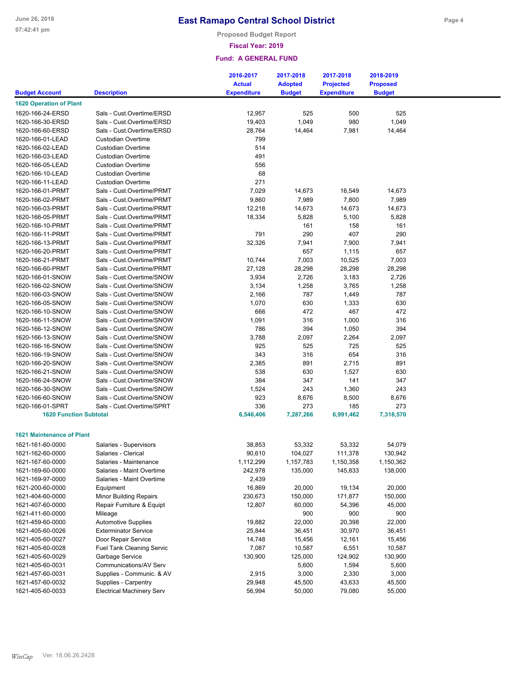**Proposed Budget Report**

#### **Fiscal Year: 2019**

|                                  |                                  | 2016-2017<br><b>Actual</b> | 2017-2018<br><b>Adopted</b> | 2017-2018<br><b>Projected</b> | 2018-2019<br><b>Proposed</b> |  |
|----------------------------------|----------------------------------|----------------------------|-----------------------------|-------------------------------|------------------------------|--|
| <b>Budget Account</b>            | <b>Description</b>               | <b>Expenditure</b>         | <b>Budget</b>               | <b>Expenditure</b>            | <b>Budget</b>                |  |
| <b>1620 Operation of Plant</b>   |                                  |                            |                             |                               |                              |  |
| 1620-166-24-ERSD                 | Sals - Cust.Overtime/ERSD        | 12,957                     | 525                         | 500                           | 525                          |  |
| 1620-166-30-ERSD                 | Sals - Cust.Overtime/ERSD        | 19,403                     | 1,049                       | 980                           | 1,049                        |  |
| 1620-166-60-ERSD                 | Sals - Cust.Overtime/ERSD        | 28,764                     | 14,464                      | 7,981                         | 14,464                       |  |
| 1620-166-01-LEAD                 | <b>Custodian Overtime</b>        | 799                        |                             |                               |                              |  |
|                                  |                                  |                            |                             |                               |                              |  |
| 1620-166-02-LEAD                 | Custodian Overtime               | 514                        |                             |                               |                              |  |
| 1620-166-03-LEAD                 | <b>Custodian Overtime</b>        | 491                        |                             |                               |                              |  |
| 1620-166-05-LEAD                 | <b>Custodian Overtime</b>        | 556                        |                             |                               |                              |  |
| 1620-166-10-LEAD                 | <b>Custodian Overtime</b>        | 68                         |                             |                               |                              |  |
| 1620-166-11-LEAD                 | <b>Custodian Overtime</b>        | 271                        |                             |                               |                              |  |
| 1620-166-01-PRMT                 | Sals - Cust.Overtime/PRMT        | 7,029                      | 14,673                      | 16,549                        | 14,673                       |  |
| 1620-166-02-PRMT                 | Sals - Cust.Overtime/PRMT        | 9,860                      | 7,989                       | 7,800                         | 7,989                        |  |
| 1620-166-03-PRMT                 | Sals - Cust.Overtime/PRMT        | 12,218                     | 14,673                      | 14,673                        | 14,673                       |  |
| 1620-166-05-PRMT                 | Sals - Cust.Overtime/PRMT        | 18,334                     | 5,828                       | 5,100                         | 5,828                        |  |
| 1620-166-10-PRMT                 | Sals - Cust.Overtime/PRMT        |                            | 161                         | 158                           | 161                          |  |
| 1620-166-11-PRMT                 | Sals - Cust.Overtime/PRMT        | 791                        | 290                         | 407                           | 290                          |  |
| 1620-166-13-PRMT                 | Sals - Cust.Overtime/PRMT        | 32,326                     | 7,941                       | 7,900                         | 7,941                        |  |
| 1620-166-20-PRMT                 | Sals - Cust.Overtime/PRMT        |                            | 657                         | 1,115                         | 657                          |  |
| 1620-166-21-PRMT                 | Sals - Cust.Overtime/PRMT        | 10,744                     | 7,003                       | 10,525                        | 7,003                        |  |
| 1620-166-60-PRMT                 | Sals - Cust.Overtime/PRMT        | 27,128                     | 28,298                      | 28,298                        | 28,298                       |  |
| 1620-166-01-SNOW                 | Sals - Cust.Overtime/SNOW        | 3,934                      | 2,726                       | 3,183                         | 2,726                        |  |
| 1620-166-02-SNOW                 | Sals - Cust.Overtime/SNOW        | 3,134                      | 1,258                       | 3,765                         | 1,258                        |  |
| 1620-166-03-SNOW                 | Sals - Cust.Overtime/SNOW        | 2,166                      | 787                         | 1,449                         | 787                          |  |
| 1620-166-05-SNOW                 | Sals - Cust.Overtime/SNOW        | 1,070                      | 630                         | 1,333                         | 630                          |  |
| 1620-166-10-SNOW                 | Sals - Cust.Overtime/SNOW        | 666                        | 472                         | 467                           | 472                          |  |
| 1620-166-11-SNOW                 | Sals - Cust.Overtime/SNOW        | 1,091                      | 316                         | 1,000                         | 316                          |  |
| 1620-166-12-SNOW                 | Sals - Cust.Overtime/SNOW        | 786                        | 394                         | 1,050                         | 394                          |  |
|                                  | Sals - Cust.Overtime/SNOW        |                            |                             |                               |                              |  |
| 1620-166-13-SNOW                 |                                  | 3,788                      | 2,097                       | 2,264                         | 2,097                        |  |
| 1620-166-16-SNOW                 | Sals - Cust.Overtime/SNOW        | 925                        | 525                         | 725                           | 525                          |  |
| 1620-166-19-SNOW                 | Sals - Cust.Overtime/SNOW        | 343                        | 316                         | 654                           | 316                          |  |
| 1620-166-20-SNOW                 | Sals - Cust.Overtime/SNOW        | 2,385                      | 891                         | 2,715                         | 891                          |  |
| 1620-166-21-SNOW                 | Sals - Cust.Overtime/SNOW        | 538                        | 630                         | 1,527                         | 630                          |  |
| 1620-166-24-SNOW                 | Sals - Cust.Overtime/SNOW        | 384                        | 347                         | 141                           | 347                          |  |
| 1620-166-30-SNOW                 | Sals - Cust.Overtime/SNOW        | 1,524                      | 243                         | 1,360                         | 243                          |  |
| 1620-166-60-SNOW                 | Sals - Cust.Overtime/SNOW        | 923                        | 8,676                       | 8,500                         | 8,676                        |  |
| 1620-166-01-SPRT                 | Sals - Cust.Overtime/SPRT        | 336                        | 273                         | 185                           | 273                          |  |
| <b>1620 Function Subtotal</b>    |                                  | 6,546,406                  | 7,287,266                   | 6,991,462                     | 7,318,570                    |  |
| <b>1621 Maintenance of Plant</b> |                                  |                            |                             |                               |                              |  |
|                                  |                                  |                            |                             |                               |                              |  |
| 1621-161-60-0000                 | Salaries - Supervisors           | 38,853                     | 53,332                      | 53,332                        | 54,079                       |  |
| 1621-162-60-0000                 | Salaries - Clerical              | 90.610                     | 104,027                     | 111,378                       | 130,942                      |  |
| 1621-167-60-0000                 | Salaries - Maintenance           | 1,112,299                  | 1,157,783                   | 1,150,358                     | 1,150,362                    |  |
| 1621-169-60-0000                 | Salaries - Maint Overtime        | 242,978                    | 135,000                     | 145,833                       | 138,000                      |  |
| 1621-169-97-0000                 | Salaries - Maint Overtime        | 2,439                      |                             |                               |                              |  |
| 1621-200-60-0000                 | Equipment                        | 16,869                     | 20,000                      | 19,134                        | 20,000                       |  |
| 1621-404-60-0000                 | <b>Minor Building Repairs</b>    | 230,673                    | 150,000                     | 171,877                       | 150,000                      |  |
| 1621-407-60-0000                 | Repair Furniture & Equipt        | 12,807                     | 60,000                      | 54,396                        | 45,000                       |  |
| 1621-411-60-0000                 | Mileage                          |                            | 900                         | 900                           | 900                          |  |
| 1621-459-60-0000                 | <b>Automotive Supplies</b>       | 19,882                     | 22,000                      | 20,398                        | 22,000                       |  |
| 1621-405-60-0026                 | <b>Exterminator Service</b>      | 25,844                     | 36,451                      | 30,970                        | 36,451                       |  |
| 1621-405-60-0027                 | Door Repair Service              | 14,748                     | 15,456                      | 12,161                        | 15,456                       |  |
| 1621-405-60-0028                 | <b>Fuel Tank Cleaning Servic</b> | 7,087                      | 10,587                      | 6,551                         | 10,587                       |  |
| 1621-405-60-0029                 | Garbage Service                  | 130,900                    | 125,000                     | 124,902                       | 130,900                      |  |
| 1621-405-60-0031                 | Communications/AV Serv           |                            | 5,600                       | 1,594                         | 5,600                        |  |
| 1621-457-60-0031                 | Supplies - Communic. & AV        | 2,915                      | 3,000                       | 2,330                         | 3,000                        |  |
| 1621-457-60-0032                 | Supplies - Carpentry             | 29,948                     | 45,500                      | 43,633                        | 45,500                       |  |
|                                  |                                  |                            |                             |                               |                              |  |
| 1621-405-60-0033                 | <b>Electrical Machinery Serv</b> | 56,994                     | 50,000                      | 79,080                        | 55,000                       |  |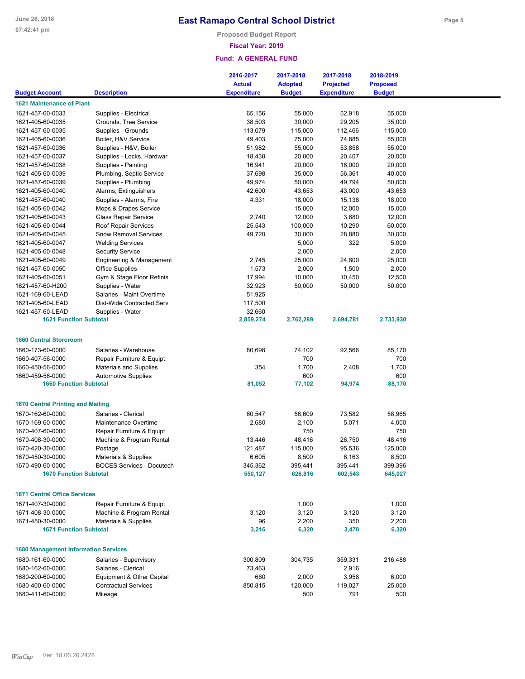**Proposed Budget Report**

#### **Fiscal Year: 2019**

|                                             |                                  | 2016-2017          | 2017-2018      | 2017-2018          | 2018-2019       |
|---------------------------------------------|----------------------------------|--------------------|----------------|--------------------|-----------------|
|                                             |                                  | <b>Actual</b>      | <b>Adopted</b> | <b>Projected</b>   | <b>Proposed</b> |
| <b>Budget Account</b>                       | <b>Description</b>               | <b>Expenditure</b> | <b>Budget</b>  | <b>Expenditure</b> | <b>Budget</b>   |
| <b>1621 Maintenance of Plant</b>            |                                  |                    |                |                    |                 |
| 1621-457-60-0033                            | Supplies - Electrical            | 65,156             | 55,000         | 52,918             | 55,000          |
| 1621-405-60-0035                            | Grounds, Tree Service            | 38,503             | 30,000         | 29,205             | 35,000          |
| 1621-457-60-0035                            | Supplies - Grounds               | 113,079            | 115,000        | 112,466            | 115,000         |
|                                             |                                  | 49,403             | 75,000         | 74,885             |                 |
| 1621-405-60-0036                            | Boiler, H&V Service              |                    |                |                    | 55,000          |
| 1621-457-60-0036                            | Supplies - H&V, Boiler           | 51,982             | 55,000         | 53,858             | 55,000          |
| 1621-457-60-0037                            | Supplies - Locks, Hardwar        | 18,438             | 20,000         | 20,407             | 20,000          |
| 1621-457-60-0038                            | Supplies - Painting              | 16,941             | 20,000         | 16,000             | 20,000          |
| 1621-405-60-0039                            | Plumbing, Septic Service         | 37,698             | 35,000         | 56,361             | 40,000          |
| 1621-457-60-0039                            | Supplies - Plumbing              | 49,974             | 50,000         | 49,794             | 50,000          |
| 1621-405-60-0040                            | Alarms, Extinguishers            | 42,600             | 43,653         | 43,000             | 43,653          |
| 1621-457-60-0040                            | Supplies - Alarms, Fire          | 4,331              | 18,000         | 15,138             | 18,000          |
| 1621-405-60-0042                            | Mops & Drapes Service            |                    | 15,000         | 12,000             | 15,000          |
| 1621-405-60-0043                            | <b>Glass Repair Service</b>      | 2,740              | 12,000         | 3,680              | 12,000          |
| 1621-405-60-0044                            | Roof Repair Services             | 25,543             | 100,000        | 10,290             | 60,000          |
| 1621-405-60-0045                            | <b>Snow Removal Services</b>     | 49,720             | 30,000         | 28,880             | 30,000          |
| 1621-405-60-0047                            | <b>Welding Services</b>          |                    | 5,000          | 322                | 5,000           |
| 1621-405-60-0048                            | <b>Security Service</b>          |                    | 2,000          |                    | 2,000           |
| 1621-405-60-0049                            | Engineering & Management         | 2,745              | 25,000         | 24,800             | 25,000          |
| 1621-457-60-0050                            | <b>Office Supplies</b>           | 1,573              | 2,000          | 1,500              | 2,000           |
| 1621-405-60-0051                            | Gym & Stage Floor Refinis        | 17,994             | 10,000         | 10,450             | 12,500          |
| 1621-457-60-H200                            | Supplies - Water                 | 32,923             | 50,000         | 50,000             | 50,000          |
| 1621-169-60-LEAD                            | Salaries - Maint Overtime        | 51,925             |                |                    |                 |
| 1621-405-60-LEAD                            | Dist-Wide Contracted Serv        | 117,500            |                |                    |                 |
| 1621-457-60-LEAD                            | Supplies - Water                 | 32,660             |                |                    |                 |
| <b>1621 Function Subtotal</b>               |                                  | 2,859,274          | 2,762,289      | 2,694,781          | 2,733,930       |
|                                             |                                  |                    |                |                    |                 |
|                                             |                                  |                    |                |                    |                 |
| <b>1660 Central Storeroom</b>               |                                  |                    |                |                    |                 |
| 1660-173-60-0000                            | Salaries - Warehouse             | 80,698             | 74,102         | 92,566             | 85,170          |
| 1660-407-56-0000                            | Repair Furniture & Equipt        |                    | 700            |                    | 700             |
| 1660-450-56-0000                            | <b>Materials and Supplies</b>    | 354                | 1,700          | 2,408              | 1,700           |
| 1660-459-56-0000                            | <b>Automotive Supplies</b>       |                    | 600            |                    | 600             |
| <b>1660 Function Subtotal</b>               |                                  | 81,052             | 77,102         | 94,974             | 88,170          |
|                                             |                                  |                    |                |                    |                 |
| <b>1670 Central Printing and Mailing</b>    |                                  |                    |                |                    |                 |
|                                             |                                  |                    |                |                    |                 |
| 1670-162-60-0000                            | Salaries - Clerical              | 60,547             | 56,609         | 73,582             | 58,965          |
| 1670-169-60-0000                            | Maintenance Overtime             | 2,680              | 2,100          | 5,071              | 4,000           |
| 1670-407-60-0000                            | Repair Furniture & Equipt        |                    | 750            |                    | 750             |
| 1670-408-30-0000                            | Machine & Program Rental         | 13,446             | 48,416         | 26,750             | 48,416          |
| 1670-420-30-0000                            | Postage                          | 121,487            | 115,000        | 95,536             | 125,000         |
| 1670-450-30-0000                            | Materials & Supplies             | 6,605              | 8,500          | 6,163              | 8,500           |
| 1670-490-60-0000                            | <b>BOCES Services - Docutech</b> | 345,362            | 395,441        | 395,441            | 399,396         |
| <b>1670 Function Subtotal</b>               |                                  | 550,127            | 626,816        | 602,543            | 645,027         |
|                                             |                                  |                    |                |                    |                 |
| <b>1671 Central Office Services</b>         |                                  |                    |                |                    |                 |
| 1671-407-30-0000                            | Repair Furniture & Equipt        |                    | 1,000          |                    | 1,000           |
| 1671-408-30-0000                            | Machine & Program Rental         | 3,120              | 3,120          | 3,120              | 3,120           |
| 1671-450-30-0000                            | Materials & Supplies             | 96                 | 2,200          | 350                | 2,200           |
| <b>1671 Function Subtotal</b>               |                                  | 3,216              | 6,320          | 3,470              | 6,320           |
|                                             |                                  |                    |                |                    |                 |
|                                             |                                  |                    |                |                    |                 |
| <b>1680 Management Information Services</b> |                                  |                    |                |                    |                 |
| 1680-161-60-0000                            | Salaries - Supervisory           | 300,809            | 304,735        | 359,331            | 216,488         |
| 1680-162-60-0000                            | Salaries - Clerical              | 73,463             |                | 2,916              |                 |
| 1680-200-60-0000                            | Equipment & Other Capital        | 660                | 2,000          | 3,958              | 6,000           |
| 1680-400-60-0000                            | <b>Contractual Services</b>      | 850,815            | 120,000        | 119,027            | 25,000          |
| 1680-411-60-0000                            | Mileage                          |                    | 500            | 791                | 500             |
|                                             |                                  |                    |                |                    |                 |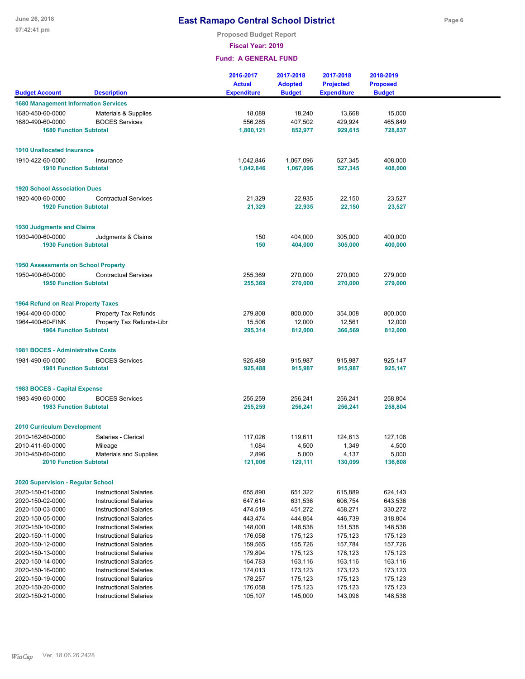**Proposed Budget Report**

**Fiscal Year: 2019**

|                                                   |                               | 2016-2017<br><b>Actual</b> | 2017-2018<br><b>Adopted</b> | 2017-2018<br><b>Projected</b> | 2018-2019<br><b>Proposed</b> |  |
|---------------------------------------------------|-------------------------------|----------------------------|-----------------------------|-------------------------------|------------------------------|--|
| <b>Budget Account</b>                             | <b>Description</b>            | <b>Expenditure</b>         | <b>Budget</b>               | <b>Expenditure</b>            | <b>Budget</b>                |  |
| <b>1680 Management Information Services</b>       |                               |                            |                             |                               |                              |  |
| 1680-450-60-0000                                  | Materials & Supplies          | 18,089                     | 18,240                      | 13,668                        | 15,000                       |  |
| 1680-490-60-0000                                  | <b>BOCES Services</b>         | 556,285                    | 407,502                     | 429,924                       | 465,849                      |  |
| <b>1680 Function Subtotal</b>                     |                               | 1,800,121                  | 852,977                     | 929,615                       | 728,837                      |  |
| <b>1910 Unallocated Insurance</b>                 |                               |                            |                             |                               |                              |  |
| 1910-422-60-0000                                  | Insurance                     | 1,042,846                  | 1,067,096                   | 527,345                       | 408,000                      |  |
| <b>1910 Function Subtotal</b>                     |                               | 1,042,846                  | 1,067,096                   | 527,345                       | 408,000                      |  |
| <b>1920 School Association Dues</b>               |                               |                            |                             |                               |                              |  |
| 1920-400-60-0000                                  | <b>Contractual Services</b>   | 21,329                     | 22,935                      | 22,150                        | 23,527                       |  |
| <b>1920 Function Subtotal</b>                     |                               | 21,329                     | 22,935                      | 22,150                        | 23,527                       |  |
| <b>1930 Judgments and Claims</b>                  |                               |                            |                             |                               |                              |  |
| 1930-400-60-0000                                  | Judgments & Claims            | 150                        | 404,000                     | 305,000                       | 400.000                      |  |
| <b>1930 Function Subtotal</b>                     |                               | 150                        | 404,000                     | 305,000                       | 400,000                      |  |
| <b>1950 Assessments on School Property</b>        |                               |                            |                             |                               |                              |  |
|                                                   |                               |                            |                             |                               |                              |  |
| 1950-400-60-0000<br><b>1950 Function Subtotal</b> | <b>Contractual Services</b>   | 255,369<br>255,369         | 270,000<br>270,000          | 270,000<br>270,000            | 279,000<br>279,000           |  |
|                                                   |                               |                            |                             |                               |                              |  |
| <b>1964 Refund on Real Property Taxes</b>         |                               |                            |                             |                               |                              |  |
| 1964-400-60-0000                                  | <b>Property Tax Refunds</b>   | 279,808                    | 800,000                     | 354,008                       | 800,000                      |  |
| 1964-400-60-FINK                                  | Property Tax Refunds-Libr     | 15,506                     | 12,000                      | 12,561                        | 12,000                       |  |
| <b>1964 Function Subtotal</b>                     |                               | 295,314                    | 812,000                     | 366,569                       | 812,000                      |  |
| <b>1981 BOCES - Administrative Costs</b>          |                               |                            |                             |                               |                              |  |
| 1981-490-60-0000                                  | <b>BOCES Services</b>         | 925,488                    | 915,987                     | 915,987                       | 925,147                      |  |
| <b>1981 Function Subtotal</b>                     |                               | 925,488                    | 915,987                     | 915,987                       | 925,147                      |  |
| 1983 BOCES - Capital Expense                      |                               |                            |                             |                               |                              |  |
| 1983-490-60-0000                                  | <b>BOCES Services</b>         | 255,259                    | 256,241                     | 256,241                       | 258,804                      |  |
| <b>1983 Function Subtotal</b>                     |                               | 255,259                    | 256,241                     | 256,241                       | 258,804                      |  |
| <b>2010 Curriculum Development</b>                |                               |                            |                             |                               |                              |  |
| 2010-162-60-0000                                  | Salaries - Clerical           | 117,026                    | 119,611                     | 124,613                       | 127,108                      |  |
| 2010-411-60-0000                                  | Mileage                       | 1,084                      | 4,500                       | 1,349                         | 4,500                        |  |
| 2010-450-60-0000                                  | <b>Materials and Supplies</b> | 2,896                      | 5,000                       | 4,137                         | 5,000                        |  |
| <b>2010 Function Subtotal</b>                     |                               | 121,006                    | 129,111                     | 130,099                       | 136,608                      |  |
| 2020 Supervision - Regular School                 |                               |                            |                             |                               |                              |  |
| 2020-150-01-0000                                  | <b>Instructional Salaries</b> | 655,890                    | 651,322                     | 615,889                       | 624,143                      |  |
| 2020-150-02-0000                                  | <b>Instructional Salaries</b> | 647,614                    | 631,536                     | 606,754                       | 643,536                      |  |
| 2020-150-03-0000                                  | <b>Instructional Salaries</b> | 474,519                    | 451,272                     | 458,271                       | 330,272                      |  |
| 2020-150-05-0000                                  | <b>Instructional Salaries</b> | 443,474                    | 444,854                     | 446,739                       | 318,804                      |  |
| 2020-150-10-0000                                  | <b>Instructional Salaries</b> | 148,000                    | 148,538                     | 151,538                       | 148,538                      |  |
| 2020-150-11-0000                                  | <b>Instructional Salaries</b> | 176,058                    | 175,123                     | 175,123                       | 175,123                      |  |
| 2020-150-12-0000                                  | <b>Instructional Salaries</b> | 159,565                    | 155,726                     | 157,784                       | 157,726                      |  |
| 2020-150-13-0000                                  | <b>Instructional Salaries</b> | 179,894                    | 175,123                     | 178,123                       | 175,123                      |  |
| 2020-150-14-0000                                  | <b>Instructional Salaries</b> | 164,783                    | 163,116                     | 163,116                       | 163,116                      |  |
| 2020-150-16-0000                                  | <b>Instructional Salaries</b> | 174,013                    | 173,123                     | 173,123                       | 173,123                      |  |
| 2020-150-19-0000                                  | <b>Instructional Salaries</b> | 178,257                    | 175,123                     | 175,123                       | 175,123                      |  |
| 2020-150-20-0000                                  | <b>Instructional Salaries</b> | 176,058                    | 175,123                     | 175,123                       | 175,123                      |  |
| 2020-150-21-0000                                  | <b>Instructional Salaries</b> | 105,107                    | 145,000                     | 143,096                       | 148,538                      |  |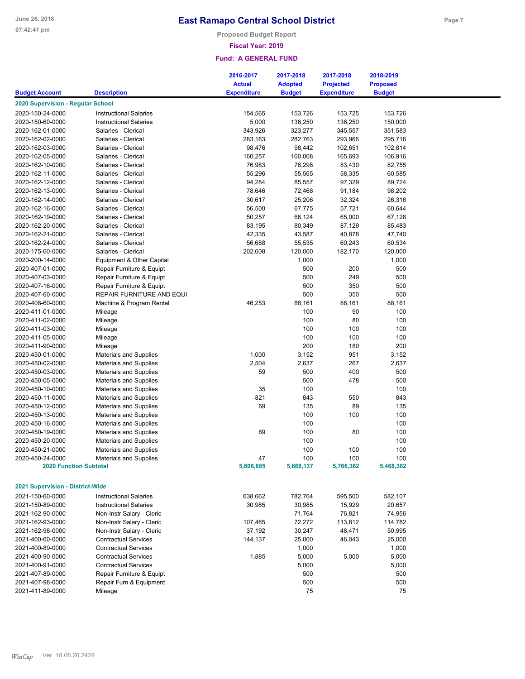**Proposed Budget Report**

#### **Fiscal Year: 2019**

|                                         |                               | 2016-2017          | 2017-2018      | 2017-2018          | 2018-2019       |  |
|-----------------------------------------|-------------------------------|--------------------|----------------|--------------------|-----------------|--|
|                                         |                               | <b>Actual</b>      | <b>Adopted</b> | <b>Projected</b>   | <b>Proposed</b> |  |
| <b>Budget Account</b>                   | <b>Description</b>            | <b>Expenditure</b> | <b>Budget</b>  | <b>Expenditure</b> | <b>Budget</b>   |  |
| 2020 Supervision - Regular School       |                               |                    |                |                    |                 |  |
| 2020-150-24-0000                        | <b>Instructional Salaries</b> | 154,565            | 153,726        | 153,725            | 153,726         |  |
| 2020-150-60-0000                        | <b>Instructional Salaries</b> | 5,000              | 136,250        | 136,250            | 150,000         |  |
| 2020-162-01-0000                        | Salaries - Clerical           | 343,926            | 323,277        | 345,557            | 351,583         |  |
| 2020-162-02-0000                        | Salaries - Clerical           | 283,163            | 282,763        | 293,966            | 295,716         |  |
| 2020-162-03-0000                        | Salaries - Clerical           | 98,476             | 98,442         | 102,651            | 102,814         |  |
| 2020-162-05-0000                        | Salaries - Clerical           | 160,257            | 160,008        | 165,693            | 106,916         |  |
|                                         | Salaries - Clerical           | 76,983             | 76,298         |                    |                 |  |
| 2020-162-10-0000                        | Salaries - Clerical           |                    |                | 83,430             | 82,755          |  |
| 2020-162-11-0000                        |                               | 55,296<br>94,284   | 55,565         | 58,335<br>97,329   | 60,585          |  |
| 2020-162-12-0000                        | Salaries - Clerical           |                    | 85,557         |                    | 89,724          |  |
| 2020-162-13-0000                        | Salaries - Clerical           | 78,646             | 72,468         | 91,184             | 98,202          |  |
| 2020-162-14-0000                        | Salaries - Clerical           | 30,617             | 25,206         | 32,324             | 26,316          |  |
| 2020-162-16-0000                        | Salaries - Clerical           | 56,500             | 67,775         | 57,721             | 60,644          |  |
| 2020-162-19-0000                        | Salaries - Clerical           | 50,257             | 66,124         | 65,000             | 67,128          |  |
| 2020-162-20-0000                        | Salaries - Clerical           | 83,195             | 80,349         | 87,129             | 85,483          |  |
| 2020-162-21-0000                        | Salaries - Clerical           | 42,335             | 43,587         | 40,878             | 47,740          |  |
| 2020-162-24-0000                        | Salaries - Clerical           | 56,688             | 55,535         | 60,243             | 60,534          |  |
| 2020-175-60-0000                        | Salaries - Clerical           | 202,608            | 120,000        | 182,170            | 120,000         |  |
| 2020-200-14-0000                        | Equipment & Other Capital     |                    | 1,000          |                    | 1,000           |  |
| 2020-407-01-0000                        | Repair Furniture & Equipt     |                    | 500            | 200                | 500             |  |
| 2020-407-03-0000                        | Repair Furniture & Equipt     |                    | 500            | 249                | 500             |  |
| 2020-407-16-0000                        | Repair Furniture & Equipt     |                    | 500            | 350                | 500             |  |
| 2020-407-60-0000                        | REPAIR FURNITURE AND EQUI     |                    | 500            | 350                | 500             |  |
| 2020-408-60-0000                        | Machine & Program Rental      | 46,253             | 88,161         | 88,161             | 88,161          |  |
| 2020-411-01-0000                        | Mileage                       |                    | 100            | 90                 | 100             |  |
| 2020-411-02-0000                        | Mileage                       |                    | 100            | 80                 | 100             |  |
| 2020-411-03-0000                        | Mileage                       |                    | 100            | 100                | 100             |  |
| 2020-411-05-0000                        | Mileage                       |                    | 100            | 100                | 100             |  |
| 2020-411-90-0000                        | Mileage                       |                    | 200            | 180                | 200             |  |
| 2020-450-01-0000                        | <b>Materials and Supplies</b> | 1,000              | 3,152          | 951                | 3,152           |  |
| 2020-450-02-0000                        | <b>Materials and Supplies</b> | 2,504              | 2,637          | 267                | 2,637           |  |
| 2020-450-03-0000                        | <b>Materials and Supplies</b> | 59                 | 500            | 400                | 500             |  |
| 2020-450-05-0000                        | <b>Materials and Supplies</b> |                    | 500            | 478                | 500             |  |
| 2020-450-10-0000                        | <b>Materials and Supplies</b> | 35                 | 100            |                    | 100             |  |
| 2020-450-11-0000                        | <b>Materials and Supplies</b> | 821                | 843            | 550                | 843             |  |
| 2020-450-12-0000                        | <b>Materials and Supplies</b> | 69                 | 135            | 89                 | 135             |  |
| 2020-450-13-0000                        | Materials and Supplies        |                    | 100            | 100                | 100             |  |
| 2020-450-16-0000                        | <b>Materials and Supplies</b> |                    | 100            |                    | 100             |  |
| 2020-450-19-0000                        | <b>Materials and Supplies</b> | 69                 | 100            | 80                 | 100             |  |
| 2020-450-20-0000                        | <b>Materials and Supplies</b> |                    | 100            |                    | 100             |  |
| 2020-450-21-0000                        | <b>Materials and Supplies</b> |                    | 100            | 100                | 100             |  |
| 2020-450-24-0000                        | Materials and Supplies        | 47                 | 100            | 100                | 100             |  |
| <b>2020 Function Subtotal</b>           |                               | 5,606,885          | 5,668,137      | 5,766,362          | 5,468,382       |  |
|                                         |                               |                    |                |                    |                 |  |
| <b>2021 Supervision - District-Wide</b> |                               |                    |                |                    |                 |  |
| 2021-150-60-0000                        | <b>Instructional Salaries</b> | 638,662            | 782,764        | 595,500            | 582,107         |  |
| 2021-150-89-0000                        | <b>Instructional Salaries</b> | 30,985             | 30,985         | 15,929             | 20,657          |  |
| 2021-162-90-0000                        | Non-Instr Salary - Cleric     |                    | 71,764         | 76,821             | 74,956          |  |
| 2021-162-93-0000                        | Non-Instr Salary - Cleric     | 107,465            | 72,272         | 113,812            | 114,782         |  |
| 2021-162-98-0000                        | Non-Instr Salary - Cleric     | 37,192             | 30,247         | 48,471             | 50,995          |  |
|                                         | <b>Contractual Services</b>   |                    |                |                    |                 |  |
| 2021-400-60-0000                        |                               | 144,137            | 25,000         | 46,043             | 25,000          |  |
| 2021-400-89-0000                        | <b>Contractual Services</b>   |                    | 1,000          |                    | 1,000           |  |
| 2021-400-90-0000                        | <b>Contractual Services</b>   | 1,885              | 5,000          | 5,000              | 5,000           |  |
| 2021-400-91-0000                        | <b>Contractual Services</b>   |                    | 5,000          |                    | 5,000           |  |
| 2021-407-89-0000                        | Repair Furniture & Equipt     |                    | 500            |                    | 500             |  |
| 2021-407-98-0000                        | Repair Furn & Equipment       |                    | 500            |                    | 500             |  |
| 2021-411-89-0000                        | Mileage                       |                    | 75             |                    | 75              |  |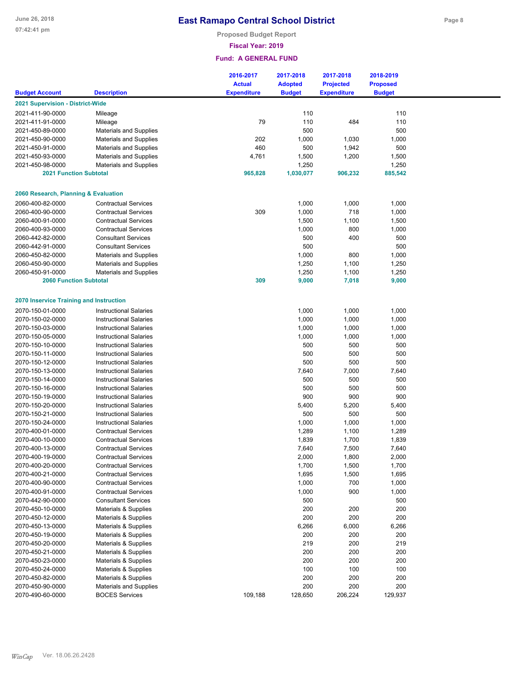**Proposed Budget Report**

**Fiscal Year: 2019**

|                                         |                               | 2016-2017          | 2017-2018      | 2017-2018          | 2018-2019       |  |
|-----------------------------------------|-------------------------------|--------------------|----------------|--------------------|-----------------|--|
|                                         |                               | <b>Actual</b>      | <b>Adopted</b> | <b>Projected</b>   | <b>Proposed</b> |  |
| <b>Budget Account</b>                   | <b>Description</b>            | <b>Expenditure</b> | <b>Budget</b>  | <b>Expenditure</b> | <b>Budget</b>   |  |
| 2021 Supervision - District-Wide        |                               |                    |                |                    |                 |  |
| 2021-411-90-0000                        | Mileage                       |                    | 110            |                    | 110             |  |
| 2021-411-91-0000                        | Mileage                       | 79                 | 110            | 484                | 110             |  |
| 2021-450-89-0000                        | <b>Materials and Supplies</b> |                    | 500            |                    | 500             |  |
| 2021-450-90-0000                        | <b>Materials and Supplies</b> | 202                | 1,000          | 1,030              | 1,000           |  |
| 2021-450-91-0000                        | <b>Materials and Supplies</b> | 460                | 500            | 1,942              | 500             |  |
| 2021-450-93-0000                        | <b>Materials and Supplies</b> | 4,761              | 1,500          | 1,200              | 1,500           |  |
| 2021-450-98-0000                        | <b>Materials and Supplies</b> |                    | 1,250          |                    | 1,250           |  |
| <b>2021 Function Subtotal</b>           |                               | 965,828            | 1,030,077      | 906,232            | 885,542         |  |
| 2060 Research, Planning & Evaluation    |                               |                    |                |                    |                 |  |
| 2060-400-82-0000                        | <b>Contractual Services</b>   |                    | 1,000          | 1,000              | 1,000           |  |
| 2060-400-90-0000                        | <b>Contractual Services</b>   | 309                | 1,000          | 718                | 1,000           |  |
| 2060-400-91-0000                        | <b>Contractual Services</b>   |                    | 1,500          | 1,100              | 1,500           |  |
| 2060-400-93-0000                        | <b>Contractual Services</b>   |                    | 1,000          | 800                | 1,000           |  |
| 2060-442-82-0000                        | <b>Consultant Services</b>    |                    | 500            | 400                | 500             |  |
| 2060-442-91-0000                        | <b>Consultant Services</b>    |                    | 500            |                    | 500             |  |
| 2060-450-82-0000                        | <b>Materials and Supplies</b> |                    | 1,000          | 800                | 1,000           |  |
| 2060-450-90-0000                        | <b>Materials and Supplies</b> |                    | 1,250          | 1,100              | 1,250           |  |
| 2060-450-91-0000                        | <b>Materials and Supplies</b> |                    | 1,250          | 1,100              | 1,250           |  |
| <b>2060 Function Subtotal</b>           |                               | 309                | 9,000          | 7,018              | 9,000           |  |
|                                         |                               |                    |                |                    |                 |  |
| 2070 Inservice Training and Instruction |                               |                    |                |                    |                 |  |
| 2070-150-01-0000                        | <b>Instructional Salaries</b> |                    | 1,000          | 1,000              | 1,000           |  |
| 2070-150-02-0000                        | <b>Instructional Salaries</b> |                    | 1,000          | 1,000              | 1,000           |  |
| 2070-150-03-0000                        | <b>Instructional Salaries</b> |                    | 1,000          | 1,000              | 1,000           |  |
| 2070-150-05-0000                        | <b>Instructional Salaries</b> |                    | 1,000          | 1,000              | 1,000           |  |
| 2070-150-10-0000                        | <b>Instructional Salaries</b> |                    | 500            | 500                | 500             |  |
| 2070-150-11-0000                        | <b>Instructional Salaries</b> |                    | 500            | 500                | 500             |  |
| 2070-150-12-0000                        | <b>Instructional Salaries</b> |                    | 500            | 500                | 500             |  |
| 2070-150-13-0000                        | <b>Instructional Salaries</b> |                    | 7,640          | 7,000              | 7,640           |  |
| 2070-150-14-0000                        | <b>Instructional Salaries</b> |                    | 500            | 500                | 500             |  |
| 2070-150-16-0000                        | <b>Instructional Salaries</b> |                    | 500            | 500                | 500             |  |
| 2070-150-19-0000                        | <b>Instructional Salaries</b> |                    | 900            | 900                | 900             |  |
| 2070-150-20-0000                        | <b>Instructional Salaries</b> |                    | 5,400          | 5,200              | 5,400           |  |
| 2070-150-21-0000                        | <b>Instructional Salaries</b> |                    | 500            | 500                | 500             |  |
| 2070-150-24-0000                        | <b>Instructional Salaries</b> |                    | 1,000          | 1,000              | 1,000           |  |
| 2070-400-01-0000                        | <b>Contractual Services</b>   |                    | 1,289          | 1,100              | 1,289           |  |
| 2070-400-10-0000                        | <b>Contractual Services</b>   |                    | 1,839          | 1,700              | 1,839           |  |
| 2070-400-13-0000                        | <b>Contractual Services</b>   |                    | 7,640          | 7,500              | 7,640           |  |
| 2070-400-19-0000                        | <b>Contractual Services</b>   |                    | 2,000          | 1,800              | 2,000           |  |
| 2070-400-20-0000                        | <b>Contractual Services</b>   |                    | 1,700          | 1,500              | 1,700           |  |
| 2070-400-21-0000                        | <b>Contractual Services</b>   |                    | 1,695          | 1,500              | 1,695           |  |
| 2070-400-90-0000                        | <b>Contractual Services</b>   |                    | 1,000          | 700                | 1,000           |  |
| 2070-400-91-0000                        | <b>Contractual Services</b>   |                    | 1,000          | 900                | 1,000           |  |
| 2070-442-90-0000                        | <b>Consultant Services</b>    |                    | 500            |                    | 500             |  |
| 2070-450-10-0000                        | Materials & Supplies          |                    | 200            | 200                | 200             |  |
| 2070-450-12-0000                        | Materials & Supplies          |                    | 200            | 200                | 200             |  |
| 2070-450-13-0000                        | Materials & Supplies          |                    | 6,266          | 6,000              | 6,266           |  |
| 2070-450-19-0000                        | Materials & Supplies          |                    | 200            | 200                | 200             |  |
| 2070-450-20-0000                        | Materials & Supplies          |                    | 219            | 200                | 219             |  |
| 2070-450-21-0000                        | Materials & Supplies          |                    | 200            | 200                | 200             |  |
| 2070-450-23-0000                        | Materials & Supplies          |                    | 200            | 200                | 200             |  |
| 2070-450-24-0000                        | Materials & Supplies          |                    | 100            | 100                | 100             |  |
| 2070-450-82-0000                        | Materials & Supplies          |                    | 200            | 200                | 200             |  |
| 2070-450-90-0000                        | Materials and Supplies        |                    | 200            | 200                | 200             |  |
| 2070-490-60-0000                        | <b>BOCES Services</b>         | 109,188            | 128,650        | 206,224            | 129,937         |  |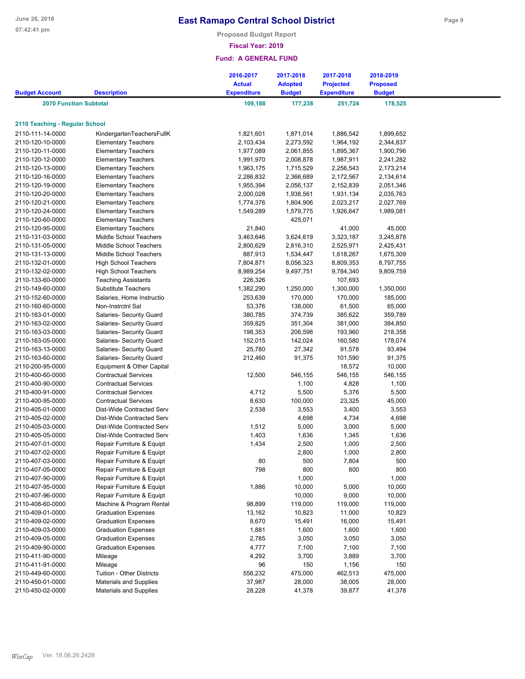**Fiscal Year: 2019**

|                                |                             | 2016-2017<br><b>Actual</b> | 2017-2018<br><b>Adopted</b> | 2017-2018<br><b>Projected</b> | 2018-2019<br><b>Proposed</b> |  |
|--------------------------------|-----------------------------|----------------------------|-----------------------------|-------------------------------|------------------------------|--|
| <b>Budget Account</b>          | <b>Description</b>          | <b>Expenditure</b>         | <b>Budget</b>               | <b>Expenditure</b>            | <b>Budget</b>                |  |
| <b>2070 Function Subtotal</b>  |                             | 109,188                    | 177,238                     | 251,724                       | 178,525                      |  |
| 2110 Teaching - Regular School |                             |                            |                             |                               |                              |  |
| 2110-111-14-0000               | KindergartenTeachersFullK   | 1,821,601                  | 1,871,014                   | 1,886,542                     | 1,899,652                    |  |
| 2110-120-10-0000               | <b>Elementary Teachers</b>  | 2,103,434                  | 2,273,592                   | 1,964,192                     | 2,344,837                    |  |
| 2110-120-11-0000               | <b>Elementary Teachers</b>  | 1,977,089                  | 2,061,855                   | 1,895,367                     | 1,900,796                    |  |
| 2110-120-12-0000               | <b>Elementary Teachers</b>  | 1,991,970                  | 2,008,878                   | 1,987,911                     | 2,241,282                    |  |
| 2110-120-13-0000               | <b>Elementary Teachers</b>  | 1,963,175                  | 1,715,529                   | 2,256,543                     | 2,173,214                    |  |
| 2110-120-16-0000               | <b>Elementary Teachers</b>  | 2,286,832                  | 2,366,689                   | 2,172,567                     | 2,134,614                    |  |
| 2110-120-19-0000               | <b>Elementary Teachers</b>  | 1,955,394                  | 2,056,137                   | 2,152,839                     | 2,051,346                    |  |
| 2110-120-20-0000               | <b>Elementary Teachers</b>  | 2,000,028                  | 1,938,561                   | 1,931,134                     | 2,035,763                    |  |
| 2110-120-21-0000               | <b>Elementary Teachers</b>  | 1,774,376                  | 1,804,906                   | 2,023,217                     | 2,027,769                    |  |
| 2110-120-24-0000               | <b>Elementary Teachers</b>  | 1,549,289                  | 1,579,775                   | 1,926,647                     | 1,989,081                    |  |
| 2110-120-60-0000               | <b>Elementary Teachers</b>  |                            | 425,071                     |                               |                              |  |
| 2110-120-95-0000               | <b>Elementary Teachers</b>  | 21,840                     |                             | 41,000                        | 45,000                       |  |
| 2110-131-03-0000               | Middle School Teachers      | 3,463,646                  | 3,624,619                   | 3,323,187                     | 3,245,878                    |  |
| 2110-131-05-0000               | Middle School Teachers      | 2,800,629                  | 2,816,310                   | 2,525,971                     | 2,425,431                    |  |
|                                | Middle School Teachers      | 887,913                    |                             | 1,618,267                     |                              |  |
| 2110-131-13-0000               |                             |                            | 1,534,447                   |                               | 1,675,309                    |  |
| 2110-132-01-0000               | <b>High School Teachers</b> | 7,804,871                  | 8,056,323                   | 8,809,353                     | 8,797,755                    |  |
| 2110-132-02-0000               | <b>High School Teachers</b> | 8,989,254                  | 9,497,751                   | 9,784,340                     | 9,809,759                    |  |
| 2110-133-60-0000               | <b>Teaching Assistants</b>  | 226,326                    |                             | 107,693                       |                              |  |
| 2110-149-60-0000               | <b>Substitute Teachers</b>  | 1,382,290                  | 1,250,000                   | 1,300,000                     | 1,350,000                    |  |
| 2110-152-60-0000               | Salaries, Home Instructio   | 253,639                    | 170,000                     | 170,000                       | 185,000                      |  |
| 2110-160-60-0000               | Non-Instrctnl Sal           | 53,376                     | 138,000                     | 61,500                        | 65,000                       |  |
| 2110-163-01-0000               | Salaries- Security Guard    | 380,785                    | 374,739                     | 385,622                       | 359,789                      |  |
| 2110-163-02-0000               | Salaries- Security Guard    | 359,825                    | 351,304                     | 381,000                       | 384,850                      |  |
| 2110-163-03-0000               | Salaries- Security Guard    | 198,353                    | 206,598                     | 193,960                       | 218,358                      |  |
| 2110-163-05-0000               | Salaries- Security Guard    | 152,015                    | 142,024                     | 160,580                       | 178,074                      |  |
| 2110-163-13-0000               | Salaries- Security Guard    | 25,780                     | 27,342                      | 91,578                        | 93,494                       |  |
| 2110-163-60-0000               | Salaries- Security Guard    | 212,460                    | 91,375                      | 101,590                       | 91,375                       |  |
| 2110-200-95-0000               | Equipment & Other Capital   |                            |                             | 18,572                        | 10,000                       |  |
| 2110-400-60-0000               | <b>Contractual Services</b> | 12,500                     | 546,155                     | 546,155                       | 546,155                      |  |
| 2110-400-90-0000               | <b>Contractual Services</b> |                            | 1,100                       | 4,828                         | 1,100                        |  |
| 2110-400-91-0000               | <b>Contractual Services</b> | 4,712                      | 5,500                       | 5,376                         | 5,500                        |  |
| 2110-400-95-0000               | <b>Contractual Services</b> | 8,630                      | 100,000                     | 23,325                        | 45,000                       |  |
| 2110-405-01-0000               | Dist-Wide Contracted Serv   | 2,538                      | 3,553                       | 3,400                         | 3,553                        |  |
| 2110-405-02-0000               | Dist-Wide Contracted Serv   |                            | 4,698                       | 4,734                         | 4,698                        |  |
| 2110-405-03-0000               | Dist-Wide Contracted Serv   | 1,512                      | 5,000                       | 3,000                         | 5,000                        |  |
| 2110-405-05-0000               | Dist-Wide Contracted Serv   | 1,403                      | 1,636                       | 1,345                         | 1,636                        |  |
| 2110-407-01-0000               | Repair Furniture & Equipt   | 1,434                      | 2,500                       | 1,000                         | 2,500                        |  |
| 2110-407-02-0000               | Repair Furniture & Equipt   |                            | 2,800                       | 1,000                         | 2,800                        |  |
| 2110-407-03-0000               | Repair Furniture & Equipt   | 80                         | 500                         | 7,804                         | 500                          |  |
| 2110-407-05-0000               | Repair Furniture & Equipt   | 798                        | 800                         | 800                           | 800                          |  |
| 2110-407-90-0000               | Repair Furniture & Equipt   |                            | 1,000                       |                               | 1,000                        |  |
| 2110-407-95-0000               | Repair Furniture & Equipt   | 1,886                      | 10,000                      | 5,000                         | 10,000                       |  |
| 2110-407-96-0000               | Repair Furniture & Equipt   |                            | 10,000                      | 9,000                         | 10,000                       |  |
| 2110-408-60-0000               | Machine & Program Rental    | 98,899                     | 119,000                     | 119,000                       | 119,000                      |  |
| 2110-409-01-0000               | <b>Graduation Expenses</b>  | 13,162                     | 10,823                      | 11,000                        | 10,823                       |  |
| 2110-409-02-0000               | <b>Graduation Expenses</b>  | 8,670                      | 15,491                      | 16,000                        | 15,491                       |  |
| 2110-409-03-0000               | <b>Graduation Expenses</b>  | 1,881                      | 1,600                       | 1,600                         | 1,600                        |  |
| 2110-409-05-0000               | <b>Graduation Expenses</b>  | 2,785                      | 3,050                       | 3,050                         | 3,050                        |  |
| 2110-409-90-0000               | <b>Graduation Expenses</b>  | 4,777                      | 7,100                       | 7,100                         | 7,100                        |  |
| 2110-411-90-0000               | Mileage                     | 4,292                      | 3,700                       | 3,889                         | 3,700                        |  |
| 2110-411-91-0000               | Mileage                     | 96                         | 150                         | 1,156                         | 150                          |  |
| 2110-449-60-0000               | Tuition - Other Districts   | 556,232                    | 475,000                     | 462,513                       | 475,000                      |  |
| 2110-450-01-0000               | Materials and Supplies      | 37,987                     | 28,000                      | 38,005                        | 28,000                       |  |
| 2110-450-02-0000               | Materials and Supplies      | 28,228                     | 41,378                      | 39,877                        | 41,378                       |  |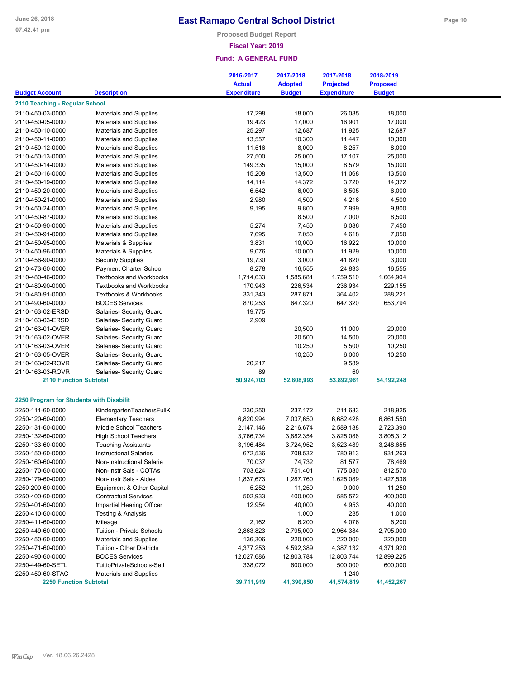**Proposed Budget Report**

#### **Fiscal Year: 2019**

|                                                              |                                  | 2016-2017          | 2017-2018      | 2017-2018            | 2018-2019       |
|--------------------------------------------------------------|----------------------------------|--------------------|----------------|----------------------|-----------------|
|                                                              |                                  | <b>Actual</b>      | <b>Adopted</b> | <b>Projected</b>     | <b>Proposed</b> |
| <b>Budget Account</b>                                        | <b>Description</b>               | <b>Expenditure</b> | <b>Budget</b>  | <b>Expenditure</b>   | <b>Budget</b>   |
| 2110 Teaching - Regular School                               |                                  |                    |                |                      |                 |
| 2110-450-03-0000                                             | <b>Materials and Supplies</b>    | 17,298             | 18,000         | 26,085               | 18,000          |
| 2110-450-05-0000                                             | <b>Materials and Supplies</b>    | 19,423             | 17,000         | 16,901               | 17,000          |
| 2110-450-10-0000                                             | Materials and Supplies           | 25,297             | 12,687         | 11,925               | 12,687          |
| 2110-450-11-0000                                             | <b>Materials and Supplies</b>    | 13,557             | 10,300         | 11,447               | 10,300          |
| 2110-450-12-0000                                             | <b>Materials and Supplies</b>    | 11,516             | 8,000          | 8,257                | 8,000           |
| 2110-450-13-0000                                             | <b>Materials and Supplies</b>    | 27,500             | 25,000         | 17,107               | 25,000          |
| 2110-450-14-0000                                             | Materials and Supplies           | 149,335            | 15,000         | 8,579                | 15,000          |
| 2110-450-16-0000                                             | Materials and Supplies           | 15,208             | 13,500         | 11,068               | 13,500          |
| 2110-450-19-0000                                             | <b>Materials and Supplies</b>    | 14,114             | 14,372         | 3,720                | 14,372          |
| 2110-450-20-0000                                             | <b>Materials and Supplies</b>    | 6,542              | 6,000          | 6,505                | 6,000           |
| 2110-450-21-0000                                             | <b>Materials and Supplies</b>    | 2,980              | 4,500          | 4,216                | 4,500           |
| 2110-450-24-0000                                             | Materials and Supplies           | 9,195              | 9,800          | 7,999                | 9,800           |
| 2110-450-87-0000                                             | Materials and Supplies           |                    | 8,500          | 7,000                | 8,500           |
| 2110-450-90-0000                                             | <b>Materials and Supplies</b>    | 5,274              | 7,450          | 6,086                | 7,450           |
|                                                              |                                  |                    |                |                      |                 |
| 2110-450-91-0000                                             | <b>Materials and Supplies</b>    | 7,695              | 7,050          | 4,618                | 7,050           |
| 2110-450-95-0000                                             | Materials & Supplies             | 3,831              | 10,000         | 16,922               | 10,000          |
| 2110-450-96-0000                                             | Materials & Supplies             | 9,076              | 10,000         | 11,929               | 10,000          |
| 2110-456-90-0000                                             | <b>Security Supplies</b>         | 19,730             | 3,000          | 41,820               | 3,000           |
| 2110-473-60-0000                                             | Payment Charter School           | 8,278              | 16,555         | 24,833               | 16,555          |
| 2110-480-46-0000                                             | <b>Textbooks and Workbooks</b>   | 1,714,633          | 1,585,681      | 1,759,510            | 1,664,904       |
| 2110-480-90-0000                                             | <b>Textbooks and Workbooks</b>   | 170,943            | 226,534        | 236,934              | 229,155         |
| 2110-480-91-0000                                             | <b>Textbooks &amp; Workbooks</b> | 331,343            | 287,871        | 364,402              | 288,221         |
| 2110-490-60-0000                                             | <b>BOCES Services</b>            | 870,253            | 647,320        | 647,320              | 653,794         |
| 2110-163-02-ERSD                                             | Salaries- Security Guard         | 19,775             |                |                      |                 |
| 2110-163-03-ERSD                                             | Salaries- Security Guard         | 2,909              |                |                      |                 |
| 2110-163-01-OVER                                             | Salaries- Security Guard         |                    | 20,500         | 11,000               | 20,000          |
| 2110-163-02-OVER                                             | Salaries- Security Guard         |                    | 20,500         | 14,500               | 20,000          |
| 2110-163-03-OVER                                             | Salaries- Security Guard         |                    | 10,250         | 5,500                | 10,250          |
| 2110-163-05-OVER                                             | Salaries- Security Guard         |                    | 10,250         | 6,000                | 10,250          |
| 2110-163-02-ROVR                                             | Salaries- Security Guard         | 20,217             |                | 9,589                |                 |
| 2110-163-03-ROVR                                             | Salaries- Security Guard         | 89                 |                | 60                   |                 |
| <b>2110 Function Subtotal</b>                                |                                  | 50,924,703         | 52,808,993     | 53,892,961           | 54,192,248      |
|                                                              |                                  |                    |                |                      |                 |
| 2250 Program for Students with Disabilit<br>2250-111-60-0000 |                                  | 230,250            | 237,172        |                      | 218,925         |
|                                                              | KindergartenTeachersFullK        | 6,820,994          |                | 211,633<br>6,682,428 |                 |
| 2250-120-60-0000                                             | <b>Elementary Teachers</b>       |                    | 7,037,650      |                      | 6,861,550       |
| 2250-131-60-0000                                             | Middle School Teachers           | 2,147,146          | 2,216,674      | 2,589,188            | 2,723,390       |
| 2250-132-60-0000                                             | <b>High School Teachers</b>      | 3,766,734          | 3,882,354      | 3,825,086            | 3,805,312       |
| 2250-133-60-0000                                             | <b>Teaching Assistants</b>       | 3,196,484          | 3,724,952      | 3,523,489            | 3,248,655       |
| 2250-150-60-0000                                             | <b>Instructional Salaries</b>    | 672,536            | 708,532        | 780,913              | 931,263         |
| 2250-160-60-0000                                             | Non-Instructional Salarie        | 70,037             | 74,732         | 81,577               | 78,469          |
| 2250-170-60-0000                                             | Non-Instr Sals - COTAs           | 703,624            | 751,401        | 775,030              | 812,570         |
| 2250-179-60-0000                                             | Non-Instr Sals - Aides           | 1,837,673          | 1,287,760      | 1,625,089            | 1,427,538       |
| 2250-200-60-0000                                             | Equipment & Other Capital        | 5,252              | 11,250         | 9,000                | 11,250          |
| 2250-400-60-0000                                             | <b>Contractual Services</b>      | 502,933            | 400,000        | 585,572              | 400,000         |
| 2250-401-60-0000                                             | Impartial Hearing Officer        | 12,954             | 40,000         | 4,953                | 40,000          |
| 2250-410-60-0000                                             | Testing & Analysis               |                    | 1,000          | 285                  | 1,000           |
| 2250-411-60-0000                                             | Mileage                          | 2,162              | 6,200          | 4,076                | 6,200           |
| 2250-449-60-0000                                             | Tuition - Private Schools        | 2,863,823          | 2,795,000      | 2,964,384            | 2,795,000       |
| 2250-450-60-0000                                             | <b>Materials and Supplies</b>    | 136,306            | 220,000        | 220,000              | 220,000         |
| 2250-471-60-0000                                             | Tuition - Other Districts        | 4,377,253          | 4,592,389      | 4,387,132            | 4,371,920       |
| 2250-490-60-0000                                             | <b>BOCES Services</b>            | 12,027,686         | 12,803,784     | 12,803,744           | 12,899,225      |
| 2250-449-60-SETL                                             | TuitioPrivateSchools-Setl        | 338,072            | 600,000        | 500,000              | 600,000         |
| 2250-450-60-STAC                                             | <b>Materials and Supplies</b>    |                    |                | 1,240                |                 |
| <b>2250 Function Subtotal</b>                                |                                  | 39,711,919         | 41,390,850     | 41,574,819           | 41,452,267      |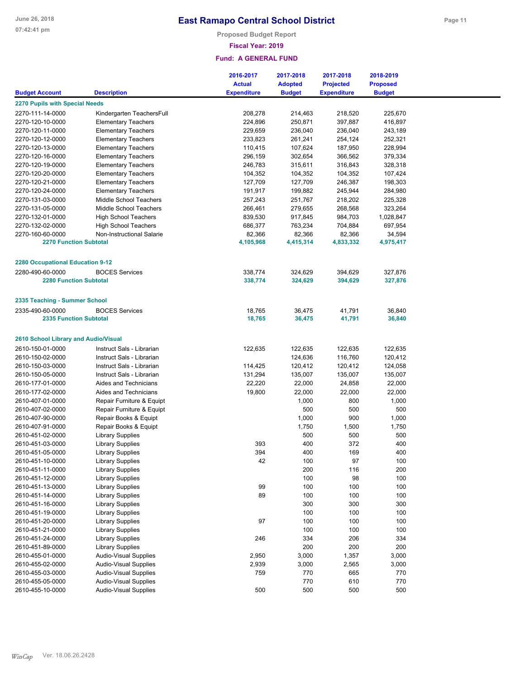**Proposed Budget Report**

### **Fiscal Year: 2019**

|                                      |                              | 2016-2017          | 2017-2018      | 2017-2018          | 2018-2019       |  |
|--------------------------------------|------------------------------|--------------------|----------------|--------------------|-----------------|--|
|                                      |                              | <b>Actual</b>      | <b>Adopted</b> | <b>Projected</b>   | <b>Proposed</b> |  |
| <b>Budget Account</b>                | <b>Description</b>           | <b>Expenditure</b> | <b>Budget</b>  | <b>Expenditure</b> | <b>Budget</b>   |  |
| 2270 Pupils with Special Needs       |                              |                    |                |                    |                 |  |
| 2270-111-14-0000                     | Kindergarten TeachersFull    | 208,278            | 214,463        | 218,520            | 225,670         |  |
|                                      |                              |                    |                |                    |                 |  |
| 2270-120-10-0000                     | <b>Elementary Teachers</b>   | 224,896            | 250,871        | 397,887            | 416,897         |  |
| 2270-120-11-0000                     | <b>Elementary Teachers</b>   | 229,659            | 236,040        | 236,040            | 243,189         |  |
| 2270-120-12-0000                     | <b>Elementary Teachers</b>   | 233,823            | 261,241        | 254,124            | 252,321         |  |
| 2270-120-13-0000                     | <b>Elementary Teachers</b>   | 110,415            | 107,624        | 187,950            | 228,994         |  |
| 2270-120-16-0000                     | <b>Elementary Teachers</b>   | 296,159            | 302,654        | 366,562            | 379,334         |  |
| 2270-120-19-0000                     | <b>Elementary Teachers</b>   | 246,783            | 315,611        | 316,843            | 328,318         |  |
| 2270-120-20-0000                     | <b>Elementary Teachers</b>   | 104,352            | 104,352        | 104,352            | 107,424         |  |
| 2270-120-21-0000                     | <b>Elementary Teachers</b>   | 127,709            | 127,709        | 246,387            | 198,303         |  |
| 2270-120-24-0000                     | <b>Elementary Teachers</b>   | 191,917            | 199,882        | 245,944            | 284,980         |  |
| 2270-131-03-0000                     | Middle School Teachers       | 257,243            | 251,767        | 218,202            | 225,328         |  |
| 2270-131-05-0000                     | Middle School Teachers       | 266,461            | 279,655        | 268,568            | 323,264         |  |
| 2270-132-01-0000                     | <b>High School Teachers</b>  | 839,530            | 917,845        | 984,703            | 1,028,847       |  |
| 2270-132-02-0000                     | <b>High School Teachers</b>  | 686,377            | 763,234        | 704,884            | 697,954         |  |
| 2270-160-60-0000                     | Non-Instructional Salarie    | 82,366             | 82,366         | 82,366             | 34,594          |  |
| <b>2270 Function Subtotal</b>        |                              | 4,105,968          | 4,415,314      | 4,833,332          | 4,975,417       |  |
|                                      |                              |                    |                |                    |                 |  |
| 2280 Occupational Education 9-12     |                              |                    |                |                    |                 |  |
| 2280-490-60-0000                     | <b>BOCES Services</b>        | 338,774            | 324,629        | 394,629            | 327,876         |  |
| <b>2280 Function Subtotal</b>        |                              | 338,774            | 324,629        | 394,629            | 327,876         |  |
|                                      |                              |                    |                |                    |                 |  |
|                                      |                              |                    |                |                    |                 |  |
| 2335 Teaching - Summer School        |                              |                    |                |                    |                 |  |
| 2335-490-60-0000                     | <b>BOCES Services</b>        | 18,765             | 36,475         | 41,791             | 36,840          |  |
| <b>2335 Function Subtotal</b>        |                              | 18,765             | 36,475         | 41,791             | 36,840          |  |
|                                      |                              |                    |                |                    |                 |  |
| 2610 School Library and Audio/Visual |                              |                    |                |                    |                 |  |
| 2610-150-01-0000                     | Instruct Sals - Librarian    | 122,635            | 122,635        | 122,635            | 122,635         |  |
| 2610-150-02-0000                     | Instruct Sals - Librarian    |                    | 124,636        | 116,760            | 120,412         |  |
| 2610-150-03-0000                     | Instruct Sals - Librarian    | 114,425            | 120,412        | 120,412            | 124,058         |  |
| 2610-150-05-0000                     | Instruct Sals - Librarian    | 131,294            | 135,007        | 135,007            | 135,007         |  |
| 2610-177-01-0000                     | Aides and Technicians        | 22,220             | 22,000         | 24,858             | 22,000          |  |
| 2610-177-02-0000                     | Aides and Technicians        | 19,800             | 22,000         | 22,000             | 22,000          |  |
| 2610-407-01-0000                     | Repair Furniture & Equipt    |                    | 1,000          | 800                | 1,000           |  |
| 2610-407-02-0000                     | Repair Furniture & Equipt    |                    | 500            | 500                | 500             |  |
| 2610-407-90-0000                     | Repair Books & Equipt        |                    | 1,000          | 900                | 1,000           |  |
| 2610-407-91-0000                     | Repair Books & Equipt        |                    | 1,750          | 1,500              | 1,750           |  |
| 2610-451-02-0000                     | <b>Library Supplies</b>      |                    | 500            | 500                | 500             |  |
| 2610-451-03-0000                     | <b>Library Supplies</b>      | 393                | 400            | 372                | 400             |  |
| 2610-451-05-0000                     | <b>Library Supplies</b>      | 394                | 400            | 169                | 400             |  |
| 2610-451-10-0000                     | <b>Library Supplies</b>      | 42                 | 100            | 97                 | 100             |  |
| 2610-451-11-0000                     | <b>Library Supplies</b>      |                    | 200            | 116                | 200             |  |
| 2610-451-12-0000                     | <b>Library Supplies</b>      |                    | 100            | 98                 | 100             |  |
| 2610-451-13-0000                     | <b>Library Supplies</b>      | 99                 | 100            | 100                | 100             |  |
|                                      |                              | 89                 |                |                    |                 |  |
| 2610-451-14-0000<br>2610-451-16-0000 | <b>Library Supplies</b>      |                    | 100            | 100                | 100             |  |
|                                      | <b>Library Supplies</b>      |                    | 300            | 300                | 300             |  |
| 2610-451-19-0000                     | <b>Library Supplies</b>      |                    | 100            | 100                | 100             |  |
| 2610-451-20-0000                     | <b>Library Supplies</b>      | 97                 | 100            | 100                | 100             |  |
| 2610-451-21-0000                     | <b>Library Supplies</b>      |                    | 100            | 100                | 100             |  |
| 2610-451-24-0000                     | <b>Library Supplies</b>      | 246                | 334            | 206                | 334             |  |
| 2610-451-89-0000                     | <b>Library Supplies</b>      |                    | 200            | 200                | 200             |  |
| 2610-455-01-0000                     | Audio-Visual Supplies        | 2,950              | 3,000          | 1,357              | 3,000           |  |
| 2610-455-02-0000                     | Audio-Visual Supplies        | 2,939              | 3,000          | 2,565              | 3,000           |  |
| 2610-455-03-0000                     | Audio-Visual Supplies        | 759                | 770            | 665                | 770             |  |
| 2610-455-05-0000                     | Audio-Visual Supplies        |                    | 770            | 610                | 770             |  |
| 2610-455-10-0000                     | <b>Audio-Visual Supplies</b> | 500                | 500            | 500                | 500             |  |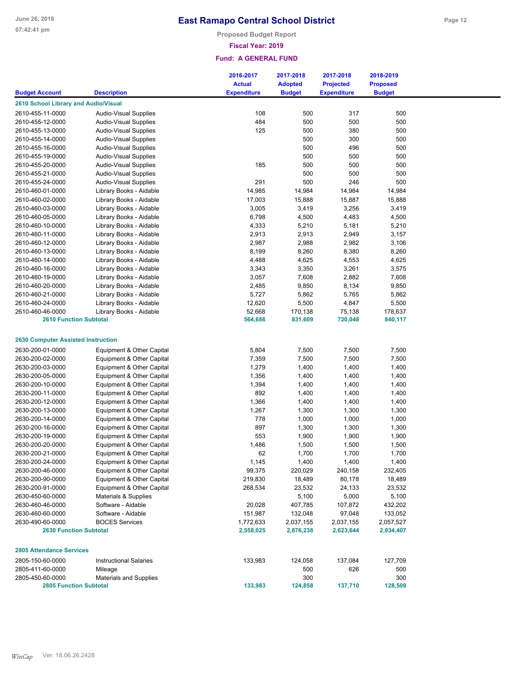**Proposed Budget Report**

#### **Fiscal Year: 2019**

|                                           |                               | 2016-2017          | 2017-2018      | 2017-2018          | 2018-2019       |  |
|-------------------------------------------|-------------------------------|--------------------|----------------|--------------------|-----------------|--|
|                                           |                               | <b>Actual</b>      | <b>Adopted</b> | <b>Projected</b>   | <b>Proposed</b> |  |
| <b>Budget Account</b>                     | <b>Description</b>            | <b>Expenditure</b> | <b>Budget</b>  | <b>Expenditure</b> | <b>Budget</b>   |  |
| 2610 School Library and Audio/Visual      |                               |                    |                |                    |                 |  |
| 2610-455-11-0000                          | Audio-Visual Supplies         | 108                | 500            | 317                | 500             |  |
| 2610-455-12-0000                          | <b>Audio-Visual Supplies</b>  | 484                | 500            | 500                | 500             |  |
| 2610-455-13-0000                          | <b>Audio-Visual Supplies</b>  | 125                | 500            | 380                | 500             |  |
| 2610-455-14-0000                          | Audio-Visual Supplies         |                    | 500            | 300                | 500             |  |
| 2610-455-16-0000                          | Audio-Visual Supplies         |                    | 500            | 496                | 500             |  |
| 2610-455-19-0000                          | <b>Audio-Visual Supplies</b>  |                    | 500            | 500                | 500             |  |
| 2610-455-20-0000                          | <b>Audio-Visual Supplies</b>  | 185                | 500            | 500                | 500             |  |
| 2610-455-21-0000                          | <b>Audio-Visual Supplies</b>  |                    | 500            | 500                | 500             |  |
| 2610-455-24-0000                          | Audio-Visual Supplies         | 291                | 500            | 246                | 500             |  |
| 2610-460-01-0000                          | Library Books - Aidable       | 14,985             | 14,984         | 14,984             | 14,984          |  |
| 2610-460-02-0000                          | Library Books - Aidable       | 17,003             | 15,888         | 15,887             | 15,888          |  |
| 2610-460-03-0000                          | Library Books - Aidable       | 3,005              | 3,419          | 3,256              | 3,419           |  |
| 2610-460-05-0000                          | Library Books - Aidable       | 6,798              | 4,500          | 4,483              | 4,500           |  |
| 2610-460-10-0000                          | Library Books - Aidable       | 4,333              | 5,210          | 5,181              | 5,210           |  |
| 2610-460-11-0000                          | Library Books - Aidable       | 2,913              | 2,913          | 2,949              | 3,157           |  |
| 2610-460-12-0000                          | Library Books - Aidable       | 2,987              | 2,988          | 2,982              | 3,106           |  |
| 2610-460-13-0000                          | Library Books - Aidable       | 8,199              | 8,260          | 8,380              | 8,260           |  |
| 2610-460-14-0000                          | Library Books - Aidable       | 4,488              | 4,625          | 4,553              | 4,625           |  |
| 2610-460-16-0000                          | Library Books - Aidable       | 3,343              | 3,350          | 3,261              | 3,575           |  |
| 2610-460-19-0000                          | Library Books - Aidable       | 3,057              | 7,608          | 2,882              | 7,608           |  |
| 2610-460-20-0000                          | Library Books - Aidable       | 2,485              | 9,850          | 8,134              | 9,850           |  |
| 2610-460-21-0000                          | Library Books - Aidable       | 5,727              | 5,862          | 5,765              | 5,862           |  |
| 2610-460-24-0000                          | Library Books - Aidable       | 12,620             | 5,500          | 4,847              | 5,500           |  |
| 2610-460-46-0000                          | Library Books - Aidable       | 52,668             | 170,138        | 75,138             | 178,637         |  |
| <b>2610 Function Subtotal</b>             |                               | 564,686            | 831,609        | 720,048            | 840,117         |  |
|                                           |                               |                    |                |                    |                 |  |
| <b>2630 Computer Assisted Instruction</b> |                               |                    |                |                    |                 |  |
|                                           |                               |                    |                |                    |                 |  |
| 2630-200-01-0000                          | Equipment & Other Capital     | 5,804              | 7,500          | 7,500              | 7,500           |  |
| 2630-200-02-0000                          | Equipment & Other Capital     | 7,359              | 7,500          | 7,500              | 7,500           |  |
| 2630-200-03-0000                          | Equipment & Other Capital     | 1,279              | 1,400          | 1,400              | 1,400           |  |
| 2630-200-05-0000                          | Equipment & Other Capital     | 1,356              | 1,400          | 1,400              | 1,400           |  |
| 2630-200-10-0000                          | Equipment & Other Capital     | 1,394              | 1,400          | 1,400              | 1,400           |  |
| 2630-200-11-0000                          | Equipment & Other Capital     | 892                | 1,400          | 1,400              | 1,400           |  |
| 2630-200-12-0000                          | Equipment & Other Capital     | 1,366              | 1,400          | 1,400              | 1,400           |  |
| 2630-200-13-0000                          | Equipment & Other Capital     | 1,267              | 1,300          | 1,300              | 1,300           |  |
| 2630-200-14-0000                          | Equipment & Other Capital     | 778                | 1,000          | 1,000              | 1,000           |  |
| 2630-200-16-0000                          | Equipment & Other Capital     | 897                | 1,300          | 1,300              | 1,300           |  |
| 2630-200-19-0000                          | Equipment & Other Capital     | 553                | 1,900          | 1,900              | 1,900           |  |
| 2630-200-20-0000                          | Equipment & Other Capital     | 1,486              | 1,500          | 1,500              | 1,500           |  |
| 2630-200-21-0000                          | Equipment & Other Capital     | 62                 | 1,700          | 1,700              | 1,700           |  |
| 2630-200-24-0000                          | Equipment & Other Capital     | 1,145              | 1,400          | 1,400              | 1,400           |  |
| 2630-200-46-0000                          | Equipment & Other Capital     | 99,375             | 220,029        | 240,158            | 232,405         |  |
| 2630-200-90-0000                          | Equipment & Other Capital     | 219,830            | 18,489         | 80,178             | 18,489          |  |
| 2630-200-91-0000                          | Equipment & Other Capital     | 268,534            | 23,532         | 24,133             | 23,532          |  |
| 2630-450-60-0000                          | Materials & Supplies          |                    | 5,100          | 5,000              | 5,100           |  |
| 2630-460-46-0000                          | Software - Aidable            | 20,028             | 407,785        | 107,872            | 432,202         |  |
| 2630-460-60-0000                          | Software - Aidable            | 151,987            | 132,048        | 97,048             | 133,052         |  |
| 2630-490-60-0000                          | <b>BOCES Services</b>         | 1,772,633          | 2,037,155      | 2,037,155          | 2,057,527       |  |
| <b>2630 Function Subtotal</b>             |                               | 2,558,025          | 2,876,238      | 2,623,644          | 2,934,407       |  |
| <b>2805 Attendance Services</b>           |                               |                    |                |                    |                 |  |
| 2805-150-60-0000                          | <b>Instructional Salaries</b> | 133,983            | 124,058        | 137,084            | 127,709         |  |
| 2805-411-60-0000                          | Mileage                       |                    | 500            | 626                | 500             |  |
| 2805-450-60-0000                          | <b>Materials and Supplies</b> |                    | 300            |                    | 300             |  |
| <b>2805 Function Subtotal</b>             |                               | 133,983            | 124,858        | 137,710            | 128,509         |  |
|                                           |                               |                    |                |                    |                 |  |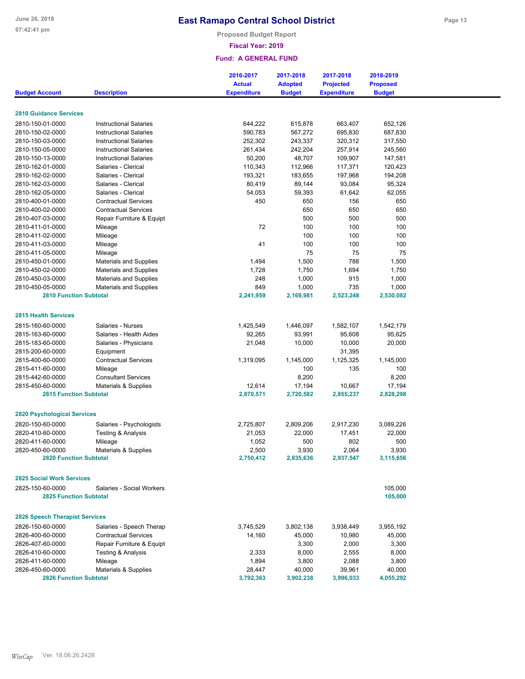**Proposed Budget Report**

**Fiscal Year: 2019**

|                                       |                                                | 2016-2017          | 2017-2018      | 2017-2018          | 2018-2019       |  |
|---------------------------------------|------------------------------------------------|--------------------|----------------|--------------------|-----------------|--|
|                                       |                                                | <b>Actual</b>      | <b>Adopted</b> | <b>Projected</b>   | <b>Proposed</b> |  |
| <b>Budget Account</b>                 | <b>Description</b>                             | <b>Expenditure</b> | <b>Budget</b>  | <b>Expenditure</b> | <b>Budget</b>   |  |
|                                       |                                                |                    |                |                    |                 |  |
| <b>2810 Guidance Services</b>         |                                                |                    |                |                    |                 |  |
| 2810-150-01-0000                      | <b>Instructional Salaries</b>                  | 644,222            | 615,878        | 663,407            | 652,126         |  |
| 2810-150-02-0000                      | <b>Instructional Salaries</b>                  | 590,783            | 567,272        | 695,830            | 687,830         |  |
| 2810-150-03-0000                      | <b>Instructional Salaries</b>                  | 252,302            | 243,337        | 320,312            | 317,550         |  |
| 2810-150-05-0000                      | <b>Instructional Salaries</b>                  | 261,434            | 242,204        | 257,914            | 245,560         |  |
| 2810-150-13-0000                      | <b>Instructional Salaries</b>                  | 50,200             | 48,707         | 109,907            | 147,581         |  |
| 2810-162-01-0000                      | Salaries - Clerical                            | 110,343            | 112,966        | 117,371            | 120,423         |  |
| 2810-162-02-0000                      | Salaries - Clerical                            | 193,321            | 183,655        | 197,968            | 194,208         |  |
| 2810-162-03-0000                      | Salaries - Clerical                            | 80,419             | 89,144         | 93,084             | 95,324          |  |
| 2810-162-05-0000                      | Salaries - Clerical                            | 54,053             | 59,393         | 61,642             | 62,055          |  |
| 2810-400-01-0000                      | <b>Contractual Services</b>                    | 450                | 650            | 156                | 650             |  |
| 2810-400-02-0000                      | <b>Contractual Services</b>                    |                    | 650            | 650                | 650             |  |
| 2810-407-03-0000                      | Repair Furniture & Equipt                      |                    | 500            | 500                | 500             |  |
| 2810-411-01-0000                      | Mileage                                        | 72                 | 100            | 100                | 100             |  |
| 2810-411-02-0000                      | Mileage                                        |                    | 100            | 100                | 100             |  |
| 2810-411-03-0000                      | Mileage                                        | 41                 | 100            | 100                | 100             |  |
| 2810-411-05-0000                      | Mileage                                        |                    | 75             | 75                 | 75              |  |
| 2810-450-01-0000                      | <b>Materials and Supplies</b>                  | 1,494              | 1,500          | 788                | 1,500           |  |
| 2810-450-02-0000                      | <b>Materials and Supplies</b>                  | 1,728              | 1,750          | 1,694              | 1,750           |  |
| 2810-450-03-0000                      | <b>Materials and Supplies</b>                  | 248                | 1,000          | 915                | 1,000           |  |
| 2810-450-05-0000                      | <b>Materials and Supplies</b>                  | 849                | 1,000          | 735                | 1,000           |  |
| <b>2810 Function Subtotal</b>         |                                                | 2,241,959          | 2,169,981      | 2,523,248          | 2,530,082       |  |
|                                       |                                                |                    |                |                    |                 |  |
| <b>2815 Health Services</b>           |                                                |                    |                |                    |                 |  |
|                                       |                                                |                    |                |                    |                 |  |
| 2815-160-60-0000                      | Salaries - Nurses                              | 1,425,549          | 1,446,097      | 1,582,107          | 1,542,179       |  |
| 2815-163-60-0000                      | Salaries - Health Aides                        | 92,265             | 93,991         | 95,608             | 95,625          |  |
| 2815-183-60-0000                      | Salaries - Physicians                          | 21,048             | 10,000         | 10,000             | 20,000          |  |
| 2815-200-60-0000                      | Equipment                                      |                    |                | 31,395             |                 |  |
| 2815-400-60-0000                      | <b>Contractual Services</b>                    | 1,319,095          | 1,145,000      | 1,125,325          | 1,145,000       |  |
| 2815-411-60-0000                      | Mileage                                        |                    | 100            | 135                | 100             |  |
| 2815-442-60-0000                      | <b>Consultant Services</b>                     |                    | 8,200          |                    | 8,200           |  |
| 2815-450-60-0000                      | Materials & Supplies                           | 12,614             | 17,194         | 10,667             | 17,194          |  |
| <b>2815 Function Subtotal</b>         |                                                | 2,870,571          | 2,720,582      | 2,855,237          | 2,828,298       |  |
| <b>2820 Psychological Services</b>    |                                                |                    |                |                    |                 |  |
| 2820-150-60-0000                      |                                                | 2,725,807          | 2,809,206      | 2,917,230          | 3,089,226       |  |
| 2820-410-60-0000                      | Salaries - Psychologists<br>Testing & Analysis | 21,053             | 22,000         | 17,451             | 22,000          |  |
| 2820-411-60-0000                      |                                                |                    | 500            | 802                | 500             |  |
| 2820-450-60-0000                      | Mileage<br>Materials & Supplies                | 1,052<br>2,500     | 3,930          | 2,064              | 3,930           |  |
| <b>2820 Function Subtotal</b>         |                                                | 2,750,412          | 2,835,636      | 2,937,547          | 3,115,656       |  |
|                                       |                                                |                    |                |                    |                 |  |
| <b>2825 Social Work Services</b>      |                                                |                    |                |                    |                 |  |
| 2825-150-60-0000                      | Salaries - Social Workers                      |                    |                |                    | 105,000         |  |
| <b>2825 Function Subtotal</b>         |                                                |                    |                |                    | 105,000         |  |
|                                       |                                                |                    |                |                    |                 |  |
| <b>2826 Speech Therapist Services</b> |                                                |                    |                |                    |                 |  |
| 2826-150-60-0000                      | Salaries - Speech Therap                       | 3,745,529          | 3,802,138      | 3,938,449          | 3,955,192       |  |
| 2826-400-60-0000                      | <b>Contractual Services</b>                    | 14,160             | 45,000         | 10,980             | 45,000          |  |
| 2826-407-60-0000                      | Repair Furniture & Equipt                      |                    | 3,300          | 2,000              | 3,300           |  |
| 2826-410-60-0000                      | Testing & Analysis                             | 2,333              | 8,000          | 2,555              | 8,000           |  |
| 2826-411-60-0000                      | Mileage                                        | 1,894              | 3,800          | 2,088              | 3,800           |  |
| 2826-450-60-0000                      | Materials & Supplies                           | 28,447             | 40,000         | 39,961             | 40,000          |  |
| <b>2826 Function Subtotal</b>         |                                                | 3,792,363          | 3,902,238      | 3,996,033          | 4,055,292       |  |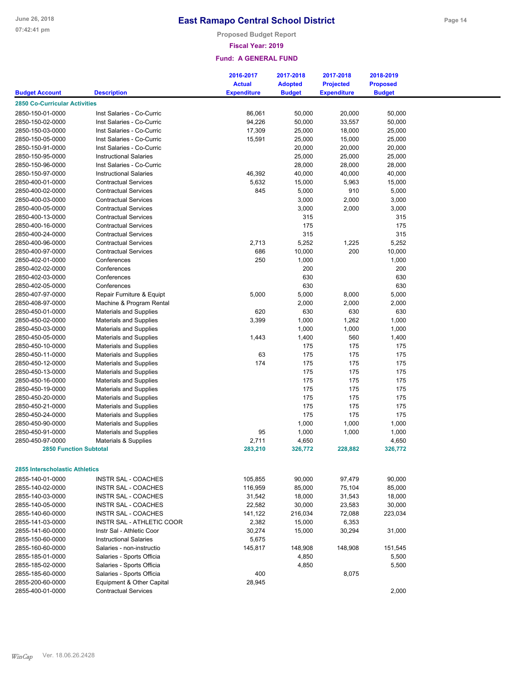**Proposed Budget Report**

#### **Fiscal Year: 2019**

|                                       |                               | 2016-2017          | 2017-2018      | 2017-2018          | 2018-2019       |  |
|---------------------------------------|-------------------------------|--------------------|----------------|--------------------|-----------------|--|
|                                       |                               | <b>Actual</b>      | <b>Adopted</b> | <b>Projected</b>   | <b>Proposed</b> |  |
| <b>Budget Account</b>                 | <b>Description</b>            | <b>Expenditure</b> | <b>Budget</b>  | <b>Expenditure</b> | <b>Budget</b>   |  |
| <b>2850 Co-Curricular Activities</b>  |                               |                    |                |                    |                 |  |
| 2850-150-01-0000                      | Inst Salaries - Co-Curric     | 86,061             | 50,000         | 20,000             | 50,000          |  |
| 2850-150-02-0000                      | Inst Salaries - Co-Curric     | 94,226             | 50,000         | 33,557             | 50,000          |  |
| 2850-150-03-0000                      | Inst Salaries - Co-Curric     | 17,309             | 25,000         | 18,000             | 25,000          |  |
| 2850-150-05-0000                      | Inst Salaries - Co-Curric     | 15,591             | 25,000         | 15,000             | 25,000          |  |
| 2850-150-91-0000                      | Inst Salaries - Co-Curric     |                    | 20,000         | 20,000             | 20,000          |  |
| 2850-150-95-0000                      | <b>Instructional Salaries</b> |                    | 25,000         | 25,000             | 25,000          |  |
| 2850-150-96-0000                      | Inst Salaries - Co-Curric     |                    | 28,000         | 28,000             | 28,000          |  |
| 2850-150-97-0000                      | <b>Instructional Salaries</b> | 46,392             | 40,000         | 40,000             | 40,000          |  |
| 2850-400-01-0000                      | <b>Contractual Services</b>   | 5,632              | 15,000         | 5,963              | 15,000          |  |
| 2850-400-02-0000                      | <b>Contractual Services</b>   | 845                | 5,000          | 910                | 5,000           |  |
| 2850-400-03-0000                      | <b>Contractual Services</b>   |                    | 3,000          | 2,000              | 3,000           |  |
| 2850-400-05-0000                      | <b>Contractual Services</b>   |                    | 3,000          | 2,000              | 3,000           |  |
| 2850-400-13-0000                      | <b>Contractual Services</b>   |                    | 315            |                    | 315             |  |
| 2850-400-16-0000                      | <b>Contractual Services</b>   |                    | 175            |                    | 175             |  |
| 2850-400-24-0000                      | <b>Contractual Services</b>   |                    | 315            |                    | 315             |  |
| 2850-400-96-0000                      | <b>Contractual Services</b>   | 2,713              | 5,252          | 1,225              | 5,252           |  |
| 2850-400-97-0000                      | <b>Contractual Services</b>   | 686                | 10,000         | 200                | 10,000          |  |
| 2850-402-01-0000                      | Conferences                   | 250                | 1,000          |                    | 1,000           |  |
| 2850-402-02-0000                      | Conferences                   |                    | 200            |                    | 200             |  |
| 2850-402-03-0000                      | Conferences                   |                    | 630            |                    | 630             |  |
| 2850-402-05-0000                      | Conferences                   |                    | 630            |                    | 630             |  |
| 2850-407-97-0000                      | Repair Furniture & Equipt     | 5,000              | 5,000          | 8,000              | 5,000           |  |
| 2850-408-97-0000                      | Machine & Program Rental      |                    | 2,000          | 2,000              | 2,000           |  |
| 2850-450-01-0000                      | <b>Materials and Supplies</b> | 620                | 630            | 630                | 630             |  |
| 2850-450-02-0000                      | Materials and Supplies        | 3,399              | 1,000          | 1,262              | 1,000           |  |
| 2850-450-03-0000                      | <b>Materials and Supplies</b> |                    | 1,000          | 1,000              | 1,000           |  |
| 2850-450-05-0000                      | <b>Materials and Supplies</b> | 1,443              | 1,400          | 560                | 1,400           |  |
| 2850-450-10-0000                      | Materials and Supplies        |                    | 175            | 175                | 175             |  |
| 2850-450-11-0000                      | <b>Materials and Supplies</b> | 63                 | 175            | 175                | 175             |  |
| 2850-450-12-0000                      | <b>Materials and Supplies</b> | 174                | 175            | 175                | 175             |  |
| 2850-450-13-0000                      | Materials and Supplies        |                    | 175            | 175                | 175             |  |
| 2850-450-16-0000                      | Materials and Supplies        |                    | 175            | 175                | 175             |  |
| 2850-450-19-0000                      | <b>Materials and Supplies</b> |                    | 175            | 175                | 175             |  |
| 2850-450-20-0000                      | <b>Materials and Supplies</b> |                    | 175            | 175                | 175             |  |
| 2850-450-21-0000                      | <b>Materials and Supplies</b> |                    | 175            | 175                | 175             |  |
| 2850-450-24-0000                      | Materials and Supplies        |                    | 175            | 175                | 175             |  |
| 2850-450-90-0000                      | <b>Materials and Supplies</b> |                    | 1,000          | 1,000              | 1,000           |  |
| 2850-450-91-0000                      | <b>Materials and Supplies</b> | 95                 | 1,000          | 1,000              | 1,000           |  |
| 2850-450-97-0000                      | Materials & Supplies          | 2,711              | 4,650          |                    | 4,650           |  |
| <b>2850 Function Subtotal</b>         |                               | 283,210            | 326,772        | 228,882            | 326,772         |  |
|                                       |                               |                    |                |                    |                 |  |
| <b>2855 Interscholastic Athletics</b> |                               |                    |                |                    |                 |  |
| 2855-140-01-0000                      | INSTR SAL - COACHES           | 105,855            | 90,000         | 97,479             | 90,000          |  |
| 2855-140-02-0000                      | INSTR SAL - COACHES           | 116,959            | 85,000         | 75,104             | 85,000          |  |
| 2855-140-03-0000                      | <b>INSTR SAL - COACHES</b>    | 31,542             | 18,000         | 31,543             | 18,000          |  |
| 2855-140-05-0000                      | <b>INSTR SAL - COACHES</b>    | 22,582             | 30,000         | 23,583             | 30,000          |  |
| 2855-140-60-0000                      | <b>INSTR SAL - COACHES</b>    | 141,122            | 216,034        | 72,088             | 223,034         |  |
| 2855-141-03-0000                      | INSTR SAL - ATHLETIC COOR     | 2,382              | 15,000         | 6,353              |                 |  |
| 2855-141-60-0000                      | Instr Sal - Athletic Coor     | 30,274             | 15,000         | 30,294             | 31,000          |  |
| 2855-150-60-0000                      | <b>Instructional Salaries</b> | 5,675              |                |                    |                 |  |
| 2855-160-60-0000                      | Salaries - non-instructio     | 145,817            | 148,908        | 148,908            | 151,545         |  |
| 2855-185-01-0000                      | Salaries - Sports Officia     |                    | 4,850          |                    | 5,500           |  |
| 2855-185-02-0000                      | Salaries - Sports Officia     |                    | 4,850          |                    | 5,500           |  |
| 2855-185-60-0000                      | Salaries - Sports Officia     | 400                |                | 8,075              |                 |  |
| 2855-200-60-0000                      | Equipment & Other Capital     | 28,945             |                |                    |                 |  |
| 2855-400-01-0000                      | <b>Contractual Services</b>   |                    |                |                    | 2,000           |  |
|                                       |                               |                    |                |                    |                 |  |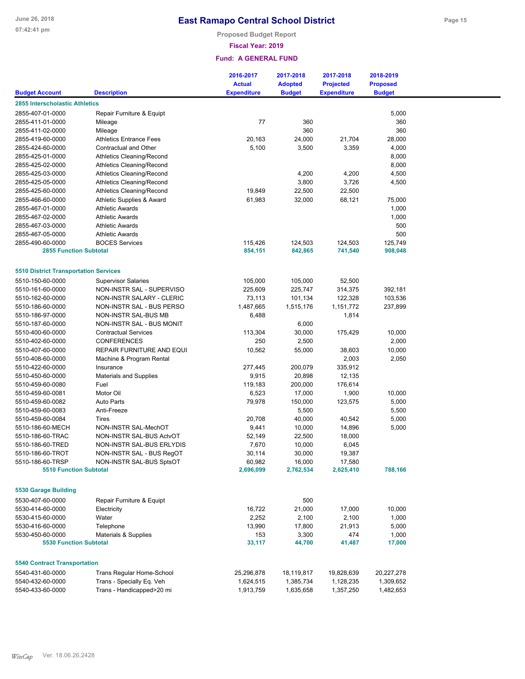**Proposed Budget Report**

#### **Fiscal Year: 2019**

|                                              |                                | 2016-2017          | 2017-2018      | 2017-2018          | 2018-2019       |  |
|----------------------------------------------|--------------------------------|--------------------|----------------|--------------------|-----------------|--|
|                                              |                                | <b>Actual</b>      | <b>Adopted</b> | <b>Projected</b>   | <b>Proposed</b> |  |
| <b>Budget Account</b>                        | <b>Description</b>             | <b>Expenditure</b> | <b>Budget</b>  | <b>Expenditure</b> | <b>Budget</b>   |  |
| 2855 Interscholastic Athletics               |                                |                    |                |                    |                 |  |
| 2855-407-01-0000                             | Repair Furniture & Equipt      |                    |                |                    | 5,000           |  |
| 2855-411-01-0000                             | Mileage                        | 77                 | 360            |                    | 360             |  |
| 2855-411-02-0000                             | Mileage                        |                    | 360            |                    | 360             |  |
| 2855-419-60-0000                             | <b>Athletics Entrance Fees</b> | 20,163             | 24,000         | 21,704             | 28,000          |  |
| 2855-424-60-0000                             | Contractual and Other          | 5,100              | 3,500          | 3,359              | 4,000           |  |
| 2855-425-01-0000                             | Athletics Cleaning/Recond      |                    |                |                    | 8,000           |  |
| 2855-425-02-0000                             | Athletics Cleaning/Recond      |                    |                |                    | 8,000           |  |
| 2855-425-03-0000                             | Athletics Cleaning/Recond      |                    | 4,200          | 4,200              | 4,500           |  |
| 2855-425-05-0000                             | Athletics Cleaning/Recond      |                    | 3,800          | 3,726              | 4,500           |  |
| 2855-425-60-0000                             | Athletics Cleaning/Recond      | 19.849             | 22,500         | 22,500             |                 |  |
| 2855-466-60-0000                             | Athletic Supplies & Award      | 61,983             | 32,000         | 68,121             | 75,000          |  |
| 2855-467-01-0000                             | <b>Athletic Awards</b>         |                    |                |                    | 1,000           |  |
| 2855-467-02-0000                             | <b>Athletic Awards</b>         |                    |                |                    | 1,000           |  |
| 2855-467-03-0000                             | <b>Athletic Awards</b>         |                    |                |                    | 500             |  |
| 2855-467-05-0000                             | <b>Athletic Awards</b>         |                    |                |                    | 500             |  |
| 2855-490-60-0000                             | <b>BOCES Services</b>          | 115,426            | 124,503        | 124,503            | 125,749         |  |
| <b>2855 Function Subtotal</b>                |                                | 854,151            | 842,865        | 741,540            | 908,048         |  |
|                                              |                                |                    |                |                    |                 |  |
| <b>5510 District Transportation Services</b> |                                |                    |                |                    |                 |  |
| 5510-150-60-0000                             | <b>Supervisor Salaries</b>     | 105,000            | 105,000        | 52,500             |                 |  |
| 5510-161-60-0000                             | NON-INSTR SAL - SUPERVISO      | 225,609            | 225,747        | 314,375            | 392,181         |  |
| 5510-162-60-0000                             | NON-INSTR SALARY - CLERIC      | 73,113             | 101,134        | 122,328            | 103,536         |  |
| 5510-186-60-0000                             | NON-INSTR SAL - BUS PERSO      | 1,487,665          | 1,515,176      | 1,151,772          | 237,899         |  |
| 5510-186-97-0000                             | NON-INSTR SAL-BUS MB           | 6,488              |                | 1,814              |                 |  |
| 5510-187-60-0000                             | NON-INSTR SAL - BUS MONIT      |                    | 6,000          |                    |                 |  |
| 5510-400-60-0000                             | <b>Contractual Services</b>    | 113,304            | 30,000         | 175,429            | 10,000          |  |
|                                              |                                | 250                |                |                    |                 |  |
| 5510-402-60-0000                             | <b>CONFERENCES</b>             |                    | 2,500          |                    | 2,000           |  |
| 5510-407-60-0000                             | REPAIR FURNITURE AND EQUI      | 10,562             | 55,000         | 38,603             | 10,000          |  |
| 5510-408-60-0000                             | Machine & Program Rental       |                    |                | 2,003              | 2,050           |  |
| 5510-422-60-0000                             | Insurance                      | 277,445            | 200,079        | 335,912            |                 |  |
| 5510-450-60-0000                             | <b>Materials and Supplies</b>  | 9,915              | 20,898         | 12,135             |                 |  |
| 5510-459-60-0080                             | Fuel                           | 119,183            | 200,000        | 176,614            |                 |  |
| 5510-459-60-0081                             | Motor Oil                      | 6,523              | 17,000         | 1,900              | 10,000          |  |
| 5510-459-60-0082                             | <b>Auto Parts</b>              | 79,978             | 150,000        | 123,575            | 5,000           |  |
| 5510-459-60-0083                             | Anti-Freeze                    |                    | 5,500          |                    | 5,500           |  |
| 5510-459-60-0084                             | Tires                          | 20,708             | 40,000         | 40,542             | 5,000           |  |
| 5510-186-60-MECH                             | NON-INSTR SAL-MechOT           | 9,441              | 10,000         | 14,896             | 5,000           |  |
| 5510-186-60-TRAC                             | NON-INSTR SAL-BUS ActvOT       | 52,149             | 22,500         | 18,000             |                 |  |
| 5510-186-60-TRED                             | NON-INSTR SAL-BUS ERLYDIS      | 7,670              | 10,000         | 6,045              |                 |  |
| 5510-186-60-TROT                             | NON-INSTR SAL - BUS RegOT      | 30,114             | 30,000         | 19,387             |                 |  |
| 5510-186-60-TRSP                             | NON-INSTR SAL-BUS SptsOT       | 60,982             | 16,000         | 17,580             |                 |  |
| <b>5510 Function Subtotal</b>                |                                | 2,696,099          | 2,762,534      | 2,625,410          | 788,166         |  |
| 5530 Garage Building                         |                                |                    |                |                    |                 |  |
| 5530-407-60-0000                             | Repair Furniture & Equipt      |                    | 500            |                    |                 |  |
| 5530-414-60-0000                             | Electricity                    | 16,722             | 21,000         | 17,000             | 10,000          |  |
| 5530-415-60-0000                             | Water                          | 2,252              | 2,100          | 2,100              | 1,000           |  |
| 5530-416-60-0000                             | Telephone                      | 13,990             | 17,800         | 21,913             | 5,000           |  |
| 5530-450-60-0000                             | Materials & Supplies           | 153                | 3,300          | 474                | 1,000           |  |
| <b>5530 Function Subtotal</b>                |                                | 33,117             | 44,700         | 41,487             | 17,000          |  |
| <b>5540 Contract Transportation</b>          |                                |                    |                |                    |                 |  |
|                                              |                                |                    |                |                    |                 |  |
| 5540-431-60-0000                             | Trans Regular Home-School      | 25,296,878         | 18,119,817     | 19,828,639         | 20,227,278      |  |
| 5540-432-60-0000                             | Trans - Specially Eq. Veh      | 1,624,515          | 1,385,734      | 1,128,235          | 1,309,652       |  |
| 5540-433-60-0000                             | Trans - Handicapped>20 mi      | 1,913,759          | 1,635,658      | 1,357,250          | 1,482,653       |  |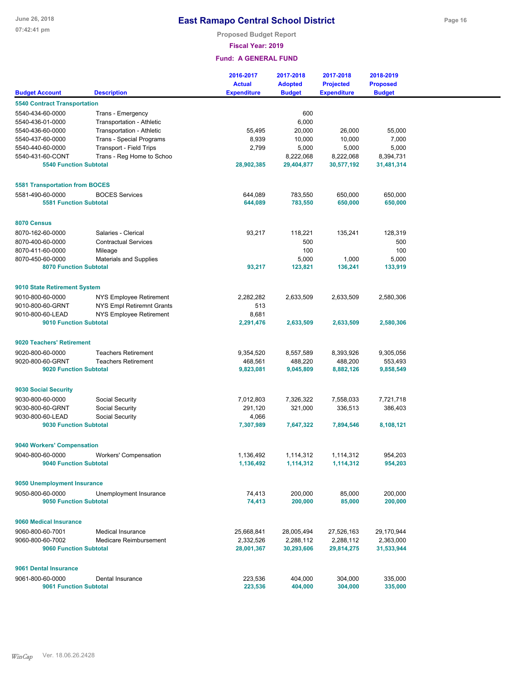**Proposed Budget Report**

**Fiscal Year: 2019**

|                                       |                               | 2016-2017<br><b>Actual</b> | 2017-2018<br><b>Adopted</b> | 2017-2018<br><b>Projected</b> | 2018-2019<br><b>Proposed</b> |  |
|---------------------------------------|-------------------------------|----------------------------|-----------------------------|-------------------------------|------------------------------|--|
| <b>Budget Account</b>                 | <b>Description</b>            | <b>Expenditure</b>         | <b>Budget</b>               | <b>Expenditure</b>            | <b>Budget</b>                |  |
| <b>5540 Contract Transportation</b>   |                               |                            |                             |                               |                              |  |
| 5540-434-60-0000                      | Trans - Emergency             |                            | 600                         |                               |                              |  |
| 5540-436-01-0000                      | Transportation - Athletic     |                            | 6,000                       |                               |                              |  |
| 5540-436-60-0000                      | Transportation - Athletic     | 55,495                     | 20,000                      | 26,000                        | 55,000                       |  |
| 5540-437-60-0000                      | Trans - Special Programs      | 8,939                      | 10,000                      | 10,000                        | 7,000                        |  |
| 5540-440-60-0000                      | Transport - Field Trips       | 2,799                      | 5,000                       | 5,000                         | 5,000                        |  |
| 5540-431-60-CONT                      | Trans - Reg Home to Schoo     |                            | 8,222,068                   | 8,222,068                     | 8,394,731                    |  |
| <b>5540 Function Subtotal</b>         |                               | 28,902,385                 | 29,404,877                  | 30,577,192                    | 31,481,314                   |  |
| <b>5581 Transportation from BOCES</b> |                               |                            |                             |                               |                              |  |
| 5581-490-60-0000                      | <b>BOCES Services</b>         | 644,089                    | 783,550                     | 650,000                       | 650,000                      |  |
| <b>5581 Function Subtotal</b>         |                               | 644,089                    | 783,550                     | 650,000                       | 650,000                      |  |
| 8070 Census                           |                               |                            |                             |                               |                              |  |
| 8070-162-60-0000                      | Salaries - Clerical           | 93,217                     | 118,221                     | 135,241                       | 128,319                      |  |
| 8070-400-60-0000                      | <b>Contractual Services</b>   |                            | 500                         |                               | 500                          |  |
| 8070-411-60-0000                      | Mileage                       |                            | 100                         |                               | 100                          |  |
| 8070-450-60-0000                      | <b>Materials and Supplies</b> |                            | 5,000                       | 1,000                         | 5,000                        |  |
| <b>8070 Function Subtotal</b>         |                               | 93,217                     | 123,821                     | 136,241                       | 133,919                      |  |
| 9010 State Retirement System          |                               |                            |                             |                               |                              |  |
| 9010-800-60-0000                      | NYS Employee Retirement       | 2,282,282                  | 2,633,509                   | 2,633,509                     | 2,580,306                    |  |
| 9010-800-60-GRNT                      | NYS Empl Retiremnt Grants     | 513                        |                             |                               |                              |  |
| 9010-800-60-LEAD                      | NYS Employee Retirement       | 8,681                      |                             |                               |                              |  |
| 9010 Function Subtotal                |                               | 2,291,476                  | 2,633,509                   | 2,633,509                     | 2,580,306                    |  |
| 9020 Teachers' Retirement             |                               |                            |                             |                               |                              |  |
| 9020-800-60-0000                      | <b>Teachers Retirement</b>    | 9,354,520                  | 8,557,589                   | 8,393,926                     | 9,305,056                    |  |
| 9020-800-60-GRNT                      | <b>Teachers Retirement</b>    | 468,561                    | 488,220                     | 488,200                       | 553,493                      |  |
| 9020 Function Subtotal                |                               | 9,823,081                  | 9,045,809                   | 8,882,126                     | 9,858,549                    |  |
| 9030 Social Security                  |                               |                            |                             |                               |                              |  |
| 9030-800-60-0000                      | Social Security               | 7,012,803                  | 7,326,322                   | 7,558,033                     | 7,721,718                    |  |
| 9030-800-60-GRNT                      | Social Security               | 291,120                    | 321,000                     | 336,513                       | 386,403                      |  |
| 9030-800-60-LEAD                      | Social Security               | 4,066                      |                             |                               |                              |  |
| 9030 Function Subtotal                |                               | 7,307,989                  | 7,647,322                   | 7,894,546                     | 8,108,121                    |  |
| 9040 Workers' Compensation            |                               |                            |                             |                               |                              |  |
| 9040-800-60-0000                      | <b>Workers' Compensation</b>  | 1,136,492                  | 1,114,312                   | 1,114,312                     | 954,203                      |  |
| 9040 Function Subtotal                |                               | 1,136,492                  | 1,114,312                   | 1,114,312                     | 954,203                      |  |
| 9050 Unemployment Insurance           |                               |                            |                             |                               |                              |  |
| 9050-800-60-0000                      | Unemployment Insurance        |                            | 200,000                     | 85,000                        | 200,000                      |  |
| 9050 Function Subtotal                |                               | 74,413<br>74,413           | 200,000                     | 85,000                        | 200,000                      |  |
| 9060 Medical Insurance                |                               |                            |                             |                               |                              |  |
| 9060-800-60-7001                      | Medical Insurance             | 25,668,841                 | 28,005,494                  | 27,526,163                    | 29,170,944                   |  |
| 9060-800-60-7002                      | <b>Medicare Reimbursement</b> | 2,332,526                  | 2,288,112                   | 2,288,112                     | 2,363,000                    |  |
| 9060 Function Subtotal                |                               | 28,001,367                 | 30,293,606                  | 29,814,275                    | 31,533,944                   |  |
| 9061 Dental Insurance                 |                               |                            |                             |                               |                              |  |
| 9061-800-60-0000                      | Dental Insurance              | 223,536                    | 404,000                     | 304,000                       | 335,000                      |  |
| 9061 Function Subtotal                |                               | 223,536                    | 404,000                     | 304,000                       | 335,000                      |  |